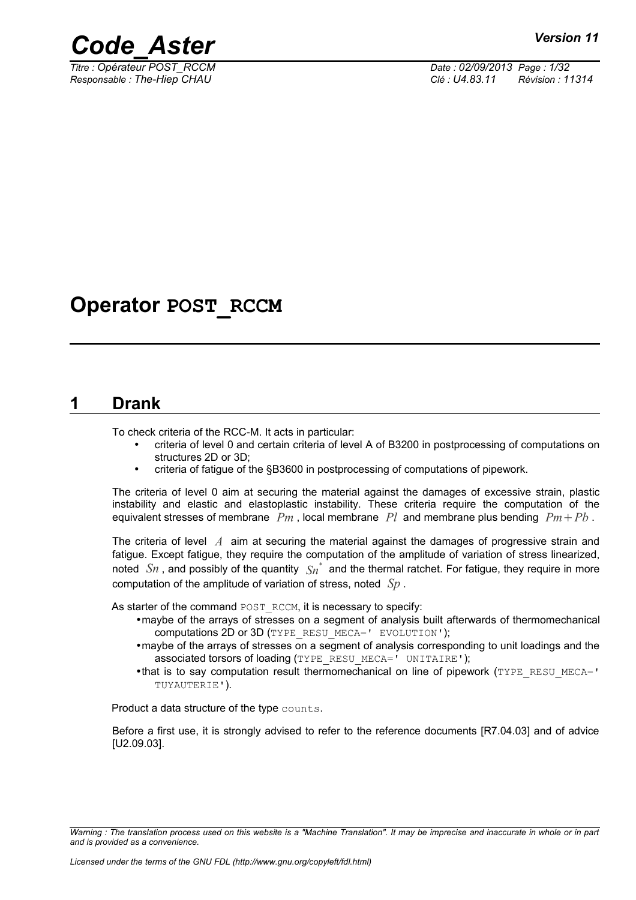

*Titre : Opérateur POST\_RCCM Date : 02/09/2013 Page : 1/32 Responsable : The-Hiep CHAU Clé : U4.83.11 Révision : 11314*

## **Operator POST\_RCCM**

### **1 Drank**

<span id="page-0-0"></span>To check criteria of the RCC-M. It acts in particular:

- criteria of level 0 and certain criteria of level A of B3200 in postprocessing of computations on structures 2D or 3D;
- criteria of fatigue of the §B3600 in postprocessing of computations of pipework.

The criteria of level 0 aim at securing the material against the damages of excessive strain, plastic instability and elastic and elastoplastic instability. These criteria require the computation of the equivalent stresses of membrane  $Pm$ , local membrane  $Pl$  and membrane plus bending  $Pm + Pb$ .

The criteria of level *A* aim at securing the material against the damages of progressive strain and fatigue. Except fatigue, they require the computation of the amplitude of variation of stress linearized, noted  $\;Sn$  , and possibly of the quantity  $\;Sn^{*}\;$  and the thermal ratchet. For fatigue, they require in more computation of the amplitude of variation of stress, noted *Sp* .

As starter of the command POST\_RCCM, it is necessary to specify:

- •maybe of the arrays of stresses on a segment of analysis built afterwards of thermomechanical computations 2D or 3D (TYPE\_RESU\_MECA=' EVOLUTION');
- •maybe of the arrays of stresses on a segment of analysis corresponding to unit loadings and the associated torsors of loading (TYPE\_RESU\_MECA=' UNITAIRE');
- •that is to say computation result thermomechanical on line of pipework (TYPE\_RESU\_MECA=' TUYAUTERIE').

Product a data structure of the type counts.

Before a first use, it is strongly advised to refer to the reference documents [R7.04.03] and of advice [U2.09.03].

*Warning : The translation process used on this website is a "Machine Translation". It may be imprecise and inaccurate in whole or in part and is provided as a convenience.*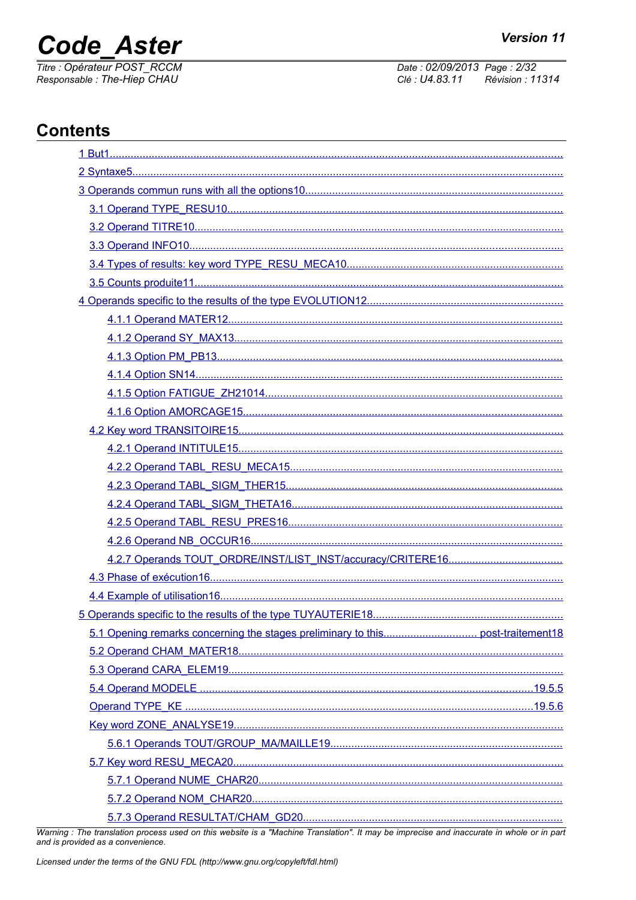# **Code Aster**

Titre : Opérateur POST\_RCCM Responsable: The-Hiep CHAU

Date: 02/09/2013 Page: 2/32 Clé : U4.83.11 Révision : 11314

## **Contents**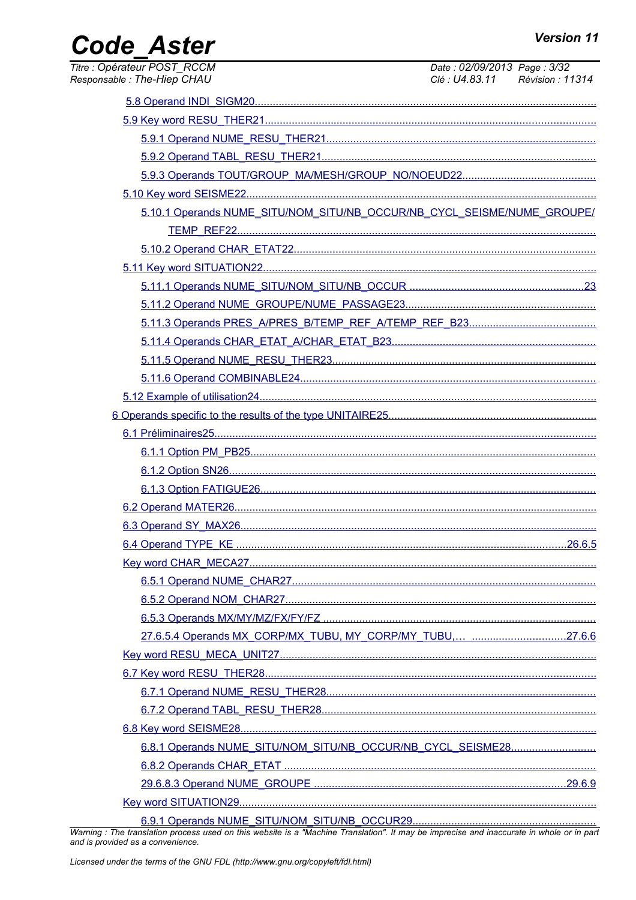## Code\_Aster

| Titre : Opérateur POST_RCCM<br>Responsable : The-Hiep CHAU                                                                                                                                                                                                                                                                                                                           | Date: 02/09/2013 Page: 3/32 | Clé : U4.83.11 Révision : 11314 |
|--------------------------------------------------------------------------------------------------------------------------------------------------------------------------------------------------------------------------------------------------------------------------------------------------------------------------------------------------------------------------------------|-----------------------------|---------------------------------|
|                                                                                                                                                                                                                                                                                                                                                                                      |                             |                                 |
|                                                                                                                                                                                                                                                                                                                                                                                      |                             |                                 |
|                                                                                                                                                                                                                                                                                                                                                                                      |                             |                                 |
|                                                                                                                                                                                                                                                                                                                                                                                      |                             |                                 |
|                                                                                                                                                                                                                                                                                                                                                                                      |                             |                                 |
|                                                                                                                                                                                                                                                                                                                                                                                      |                             |                                 |
| 5.10.1 Operands NUME_SITU/NOM_SITU/NB_OCCUR/NB_CYCL_SEISME/NUME_GROUPE/                                                                                                                                                                                                                                                                                                              |                             |                                 |
|                                                                                                                                                                                                                                                                                                                                                                                      |                             |                                 |
|                                                                                                                                                                                                                                                                                                                                                                                      |                             |                                 |
|                                                                                                                                                                                                                                                                                                                                                                                      |                             |                                 |
|                                                                                                                                                                                                                                                                                                                                                                                      |                             |                                 |
|                                                                                                                                                                                                                                                                                                                                                                                      |                             |                                 |
|                                                                                                                                                                                                                                                                                                                                                                                      |                             |                                 |
|                                                                                                                                                                                                                                                                                                                                                                                      |                             |                                 |
|                                                                                                                                                                                                                                                                                                                                                                                      |                             |                                 |
|                                                                                                                                                                                                                                                                                                                                                                                      |                             |                                 |
|                                                                                                                                                                                                                                                                                                                                                                                      |                             |                                 |
|                                                                                                                                                                                                                                                                                                                                                                                      |                             |                                 |
|                                                                                                                                                                                                                                                                                                                                                                                      |                             |                                 |
|                                                                                                                                                                                                                                                                                                                                                                                      |                             |                                 |
|                                                                                                                                                                                                                                                                                                                                                                                      |                             |                                 |
|                                                                                                                                                                                                                                                                                                                                                                                      |                             |                                 |
|                                                                                                                                                                                                                                                                                                                                                                                      |                             |                                 |
|                                                                                                                                                                                                                                                                                                                                                                                      |                             |                                 |
|                                                                                                                                                                                                                                                                                                                                                                                      |                             |                                 |
|                                                                                                                                                                                                                                                                                                                                                                                      |                             |                                 |
|                                                                                                                                                                                                                                                                                                                                                                                      |                             |                                 |
|                                                                                                                                                                                                                                                                                                                                                                                      |                             |                                 |
|                                                                                                                                                                                                                                                                                                                                                                                      |                             |                                 |
|                                                                                                                                                                                                                                                                                                                                                                                      |                             |                                 |
|                                                                                                                                                                                                                                                                                                                                                                                      |                             |                                 |
|                                                                                                                                                                                                                                                                                                                                                                                      |                             |                                 |
|                                                                                                                                                                                                                                                                                                                                                                                      |                             |                                 |
|                                                                                                                                                                                                                                                                                                                                                                                      |                             |                                 |
|                                                                                                                                                                                                                                                                                                                                                                                      |                             |                                 |
| 6.8.1 Operands NUME_SITU/NOM_SITU/NB_OCCUR/NB_CYCL_SEISME28                                                                                                                                                                                                                                                                                                                          |                             |                                 |
|                                                                                                                                                                                                                                                                                                                                                                                      |                             |                                 |
|                                                                                                                                                                                                                                                                                                                                                                                      |                             |                                 |
|                                                                                                                                                                                                                                                                                                                                                                                      |                             |                                 |
| $\overline{a}$ $\overline{b}$ $\overline{a}$ $\overline{b}$ $\overline{c}$ $\overline{c}$ $\overline{c}$ $\overline{c}$ $\overline{c}$ $\overline{c}$ $\overline{c}$ $\overline{c}$ $\overline{c}$ $\overline{c}$ $\overline{c}$ $\overline{c}$ $\overline{c}$ $\overline{c}$ $\overline{c}$ $\overline{c}$ $\overline{c}$ $\overline{c}$ $\overline{c}$ $\overline{c}$ $\overline{$ |                             |                                 |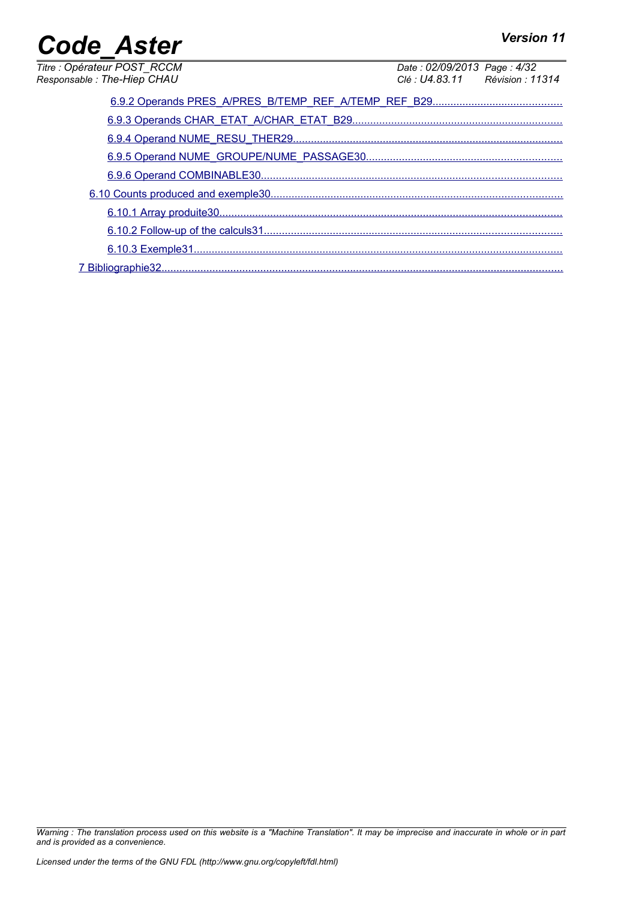| <b>Code Aster</b>           | <b>Version 11</b>               |
|-----------------------------|---------------------------------|
| Titre : Opérateur POST_RCCM | Date: 02/09/2013 Page: 4/32     |
| Responsable: The-Hiep CHAU  | Clé : U4.83.11 Révision : 11314 |
|                             |                                 |
|                             |                                 |
|                             |                                 |
|                             |                                 |
|                             |                                 |
|                             |                                 |
|                             |                                 |
|                             |                                 |
|                             |                                 |
|                             |                                 |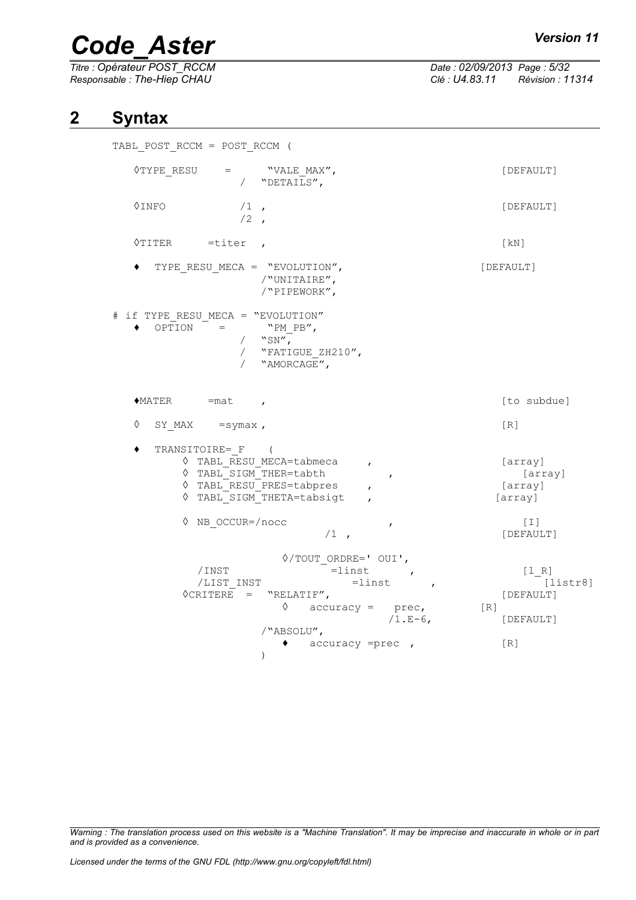*Titre : Opérateur POST\_RCCM Date : 02/09/2013 Page : 5/32 Responsable : The-Hiep CHAU Clé : U4.83.11 Révision : 11314*

### **2 Syntax**

<span id="page-4-0"></span>TABL POST RCCM = POST RCCM (  $\Diamond$ TYPE RESU = "VALE MAX",  $[DEFAULT]$  $/$  "DETAILS",  $\Diamond$ INFO /1 ,  $[DEFAULT]$  $/2$ ◊TITER =titer , [kN] TYPE\_RESU\_MECA = "EVOLUTION", /"UNITAIRE", /"PIPEWORK", # if TYPE RESU MECA = "EVOLUTION"  $\bullet$  OPTION = "PM\_PB",  $/$  "SN", / "FATIGUE\_ZH210", / "AMORCAGE",  $\blacklozenge$ MATER = mat ,  $\blacktriangleright$ ◊ SY\_MAX =symax , [R] ♦ TRANSITOIRE=\_F ( ◊ TABL\_RESU\_MECA=tabmeca , [array] ◊ TABL\_SIGM\_THER=tabth , (array)<br>◊ TABL\_RESU\_PRES=tabpres , (array)  $\sqrt{RESU}$ PRES=tabpres , ◊ TABL\_SIGM\_THETA=tabsigt , [array] ◊ NB\_OCCUR=/nocc , [I] [DEFAULT] ◊/TOUT\_ORDRE=' OUI',  $\overline{\phantom{a}}$  =linst , [1 R] /LIST\_INST =linst , <sup>[listr8]</sup> ◊CRITERE = "RELATIF", [DEFAULT]  $\Diamond$  accuracy = prec, [R] /1.E-6, [DEFAULT] /"ABSOLU", ♦ accuracy =prec , [R]  $\lambda$ 

*Warning : The translation process used on this website is a "Machine Translation". It may be imprecise and inaccurate in whole or in part and is provided as a convenience.*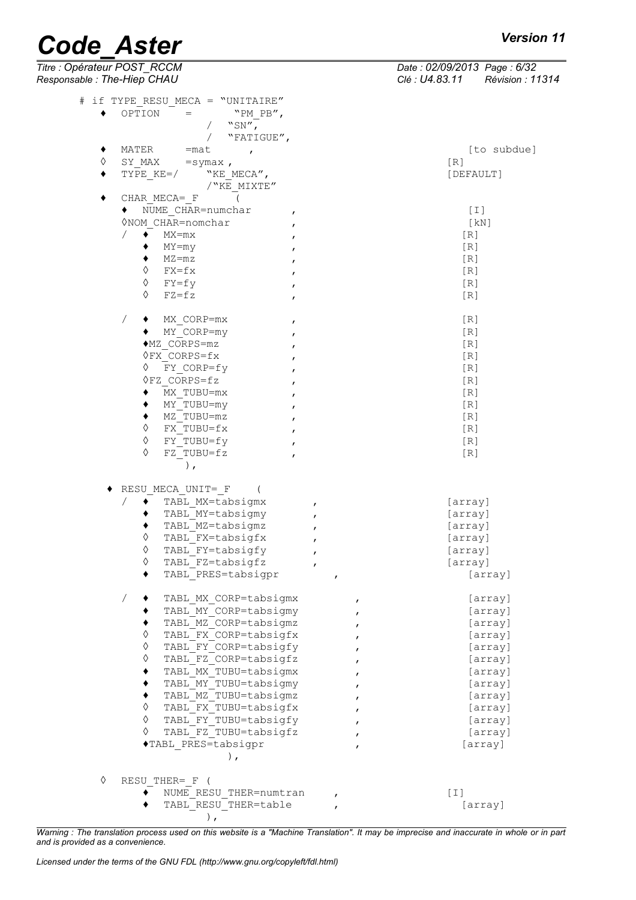| Titre : Opérateur POST_RCCM<br>Responsable : The-Hiep CHAU   | Date: 02/09/2013 Page: 6/32<br>Clé : U4.83.11 Révision : 11314 |
|--------------------------------------------------------------|----------------------------------------------------------------|
| # if TYPE RESU MECA = "UNITAIRE"                             |                                                                |
| OPTION<br>$=$<br>"PM PB",<br>٠<br>"SN",<br>$\sqrt{2}$        |                                                                |
| $\sqrt{2}$<br>"FATIGUE",                                     |                                                                |
| MATER<br>٠<br>$=$ mat<br>$\mathbf{r}$                        | [to subdue]                                                    |
| ♦<br>$SY$ MAX = symax,                                       | [R]                                                            |
| TYPE KE=/<br>"KE MECA",<br>٠<br>/"KE MIXTE"                  | [DEFAULT]                                                      |
| $\sqrt{2}$<br>٠<br>CHAR MECA= F                              |                                                                |
| NUME CHAR=numchar<br>$\mathbf{r}$                            | $[1]$                                                          |
| <b>◊NOM CHAR=nomchar</b><br>$\mathbf{r}$                     | [KN]                                                           |
| $\sqrt{2}$<br>$\bullet$<br>$MX=mx$<br>$\mathbf{r}$           | [R]                                                            |
| MY=my<br>$\mathbf{r}$                                        | [R]                                                            |
| $MZ = mZ$<br>٠<br>$\mathbf{r}$<br>♦                          | [R]                                                            |
| FX=fx<br>$\mathbf{r}$<br>♦                                   | [R]                                                            |
| FY=fy<br>$\pmb{r}$<br>♦<br>$FZ = fz$                         | [R]<br>[R]                                                     |
| $\mathbf{r}$                                                 |                                                                |
| Γ<br>MX CORP=mx<br>٠<br>$\mathbf{r}$<br>◆ MY CORP=my         | [R]<br>[R]                                                     |
| $\pmb{r}$<br>$MZ$ CORPS=mz<br>$\mathbf{r}$                   | [R]                                                            |
| $\Diamond$ FX CORPS= $f$ x                                   | [R]                                                            |
| ♦<br>FY CORP=fy<br>$\mathbf{r}$                              | [R]                                                            |
| $\Diamond$ FZ CORPS=fz<br>$\pmb{r}$                          | [R]                                                            |
| MX TUBU=mx<br>$\mathbf{r}$                                   | [R]                                                            |
| MY TUBU=my<br>$\mathbf{r}$                                   | [R]                                                            |
| MZ TUBU=mz<br>٠<br>$\mathbf{r}$                              | [R]                                                            |
| ♦<br>FX TUBU=fx<br>$\mathbf{r}$                              | [R]                                                            |
| ♦<br>FY TUBU=fy<br>$\mathbf{r}$                              | [R]                                                            |
| ♦<br>FZ TUBU=fz<br>$\mathbf{r}$                              | [R]                                                            |
| $\,$ ,                                                       |                                                                |
| RESU MECA UNIT= F                                            |                                                                |
| TABL MX=tabsigmx<br>$\pmb{r}$                                | [array]                                                        |
| TABL MY=tabsigmy<br>$\mathbf{r}$                             | [array]                                                        |
| TABL MZ=tabsigmz<br>$\pmb{r}$                                | [array]                                                        |
| ♦<br>TABL FX=tabsigfx<br>ı                                   | [array]                                                        |
| ♦<br>TABL FY=tabsigfy<br>$\mathbf{r}$                        | [array]                                                        |
| ♦<br>TABL FZ=tabsigfz<br>٠                                   | [array]                                                        |
| TABL PRES=tabsigpr<br>$\mathbf{r}$                           | [array]                                                        |
| TABL MX CORP=tabsigmx<br>$\sqrt{2}$<br>$\mathbf{r}$          | [array]                                                        |
| TABL MY CORP=tabsigmy<br>$\mathbf{r}$                        | [array]                                                        |
| TABL MZ CORP=tabsigmz<br>$\mathbf{r}$                        | [array]                                                        |
| ♦<br>TABL FX CORP=tabsigfx                                   | [array]                                                        |
| $\Diamond$<br>TABL FY CORP=tabsigfy                          | [array]                                                        |
| $\Diamond$<br>TABL FZ CORP=tabsigfz<br>TABL MX TUBU=tabsigmx | [array]                                                        |
| TABL MY TUBU=tabsigmy                                        | [array]<br>[array]                                             |
| TABL MZ TUBU=tabsigmz<br>٠                                   | [array]                                                        |
| ♦<br>TABL FX TUBU=tabsigfx                                   | [array]                                                        |
| ♦<br>TABL FY TUBU=tabsigfy                                   | [array]                                                        |
| ♦<br>TABL FZ TUBU=tabsigfz<br>$\mathbf{r}$                   | [array]                                                        |
| ◆TABL PRES=tabsigpr<br>$\mathbf{r}$                          | [array]                                                        |
| $\,$ ,                                                       |                                                                |
| ♦<br>RESU THER= F (                                          |                                                                |
| NUME RESU THER=numtran                                       | [T]                                                            |
| TABL RESU THER=table                                         | [array]                                                        |
| $\,$ ,                                                       |                                                                |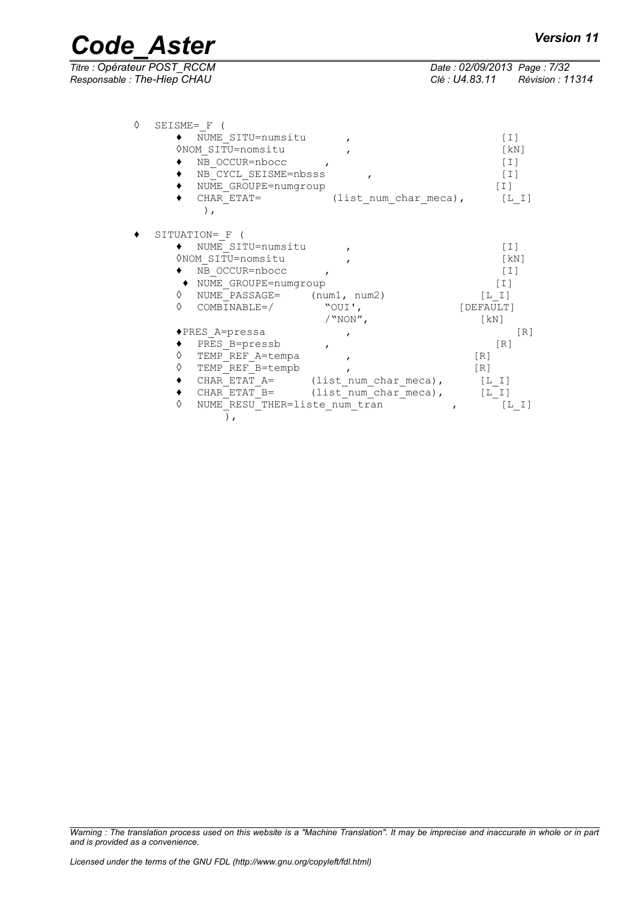$\overline{T}$ itre : Opérateur POST\_RCCM *Responsable : The-Hiep CHAU Clé : U4.83.11 Révision : 11314*

| Date: 02/09/2013 Page: 7/32 |                         |
|-----------------------------|-------------------------|
| Clé : U4.83.11              | <b>Révision : 11314</b> |

| ♦ | SEISME= F (                             |                                          |                    |
|---|-----------------------------------------|------------------------------------------|--------------------|
|   | ◆ NUME SITU=numsitu                     |                                          | $[1]$              |
|   | ONOM SITU=nomsitu                       |                                          | [kN]               |
|   | NB OCCUR=nbocc                          |                                          | [T]                |
|   | NB CYCL SEISME=nbsss                    |                                          | $[1]$              |
|   | NUME GROUPE=numgroup                    |                                          | $[\;1\;]$          |
|   | CHAR ETAT=                              | (list num char meca), $[L I]$            |                    |
|   | $\lambda$ ,                             |                                          |                    |
|   |                                         |                                          |                    |
|   | SITUATION= F (                          |                                          |                    |
|   | ◆ NUME SITU=numsitu                     |                                          | $[1]$              |
|   | ONOM SITU=nomsitu                       |                                          | [kN]               |
|   | NB OCCUR=nbocc ,                        |                                          | $[1]$              |
|   | ◆ NUME GROUPE=numgroup                  |                                          | [T]                |
|   | $\Diamond$ NUME PASSAGE= $(num1, num2)$ |                                          | [L I]              |
|   | $\Diamond$ COMBINABLE=/ "OUI',          |                                          | [DEFAULT]          |
|   |                                         | $/$ "NON",                               | $\lceil kN \rceil$ |
|   | ◆PRES A=pressa                          |                                          | [R]                |
|   | PRES B=pressb                           | $\mathbf{r}$                             | [R]                |
|   | TEMP REF A=tempa<br>♦                   | $\mathbf{r}$                             | [R]                |
|   | TEMP REF B=tempb<br>♦                   |                                          | $\lceil R \rceil$  |
|   |                                         | CHAR ETAT A= (list num char meca), [L I] |                    |
|   |                                         | CHAR ETAT B= (list num char meca), [L I] |                    |
|   | NUME RESU THER=liste num tran<br>♦      |                                          | $[L \  \, 1]$      |
|   |                                         |                                          |                    |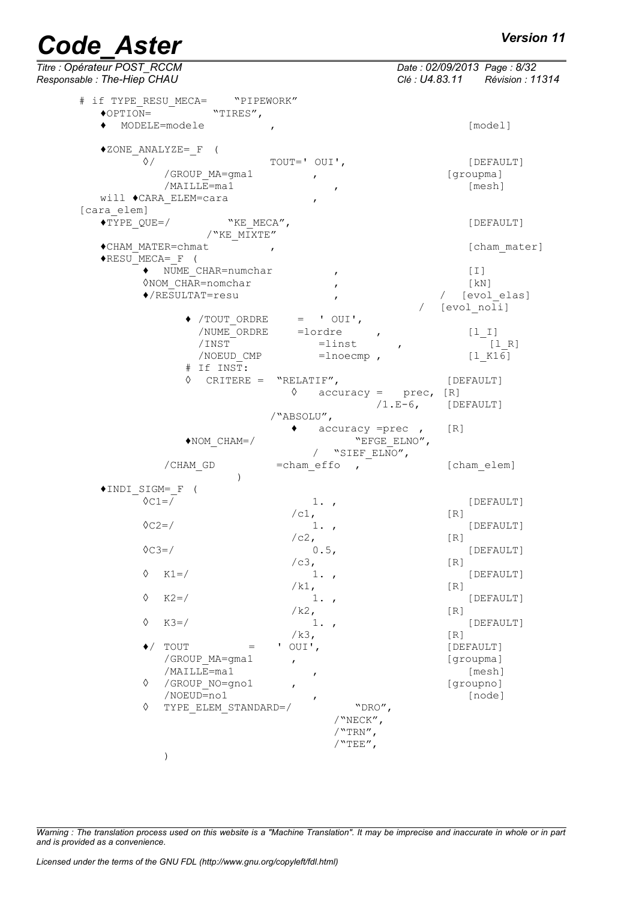*Titre : Opérateur POST\_RCCM Date : 02/09/2013 Page : 8/32 Responsable : The-Hiep CHAU Clé : U4.83.11 Révision : 11314* # if TYPE\_RESU\_MECA= "PIPEWORK"  $\overline{\bullet}$ OPTION=  $\overline{\bullet}$  "TIRES", ♦ MODELE=modele , [model] ♦ZONE\_ANALYZE=\_F ( ◊/ TOUT=' OUI', [DEFAULT] /GROUP MA=gma1 , the set of set of set of set of set of set of set of set of set of set of set of set of set o  $/MAILLE = ma1$  ,  $[mesh]$ will ♦CARA\_ELEM=cara , [cara\_elem] ♦TYPE\_QUE=/ "KE\_MECA", [DEFAULT] /"KE\_MIXTE" ♦CHAM\_MATER=chmat , [cham\_mater]  $\blacklozenge$ RESU MECA= F ( ◆ NUME CHAR=numchar , (I) ◊NOM\_CHAR=nomchar , [kN] ♦/RESULTAT=resu , / [evol\_elas] / [evol\_noli]  $\rightarrow$  /TOUT ORDRE = ' OUI', /NUME\_ORDRE =lordre , [l\_I]  $/INST$  = linst ,  $-[1 R]$  $/NOEUD$  CMP =lnoecmp ,  $[1 K16]$ # If INST: ◊ CRITERE = "RELATIF", [DEFAULT]  $\Diamond$  accuracy = prec,  $[R]$  $/1.E-6$ , [DEFAULT] /"ABSOLU",  $accuracy = prec$ ,  $[R]$ ♦NOM\_CHAM=/ "EFGE\_ELNO", /  $"SIEF$   $ELNO''$ ,  $/CHAM$  GD  $=$ chameffo ,  $[$ chamelem]  $\overline{\phantom{a}}$ ♦INDI\_SIGM=\_F (  $\texttt{0} \texttt{0} = \texttt{0} \tag{DEFAULT}$  $\sqrt{c1}$ , [R]  $\sqrt{C2}$   $\sqrt{C2}$ ,  $\sqrt{C2}$ ,  $\sqrt{R}$  [DEFAULT]  $\frac{1}{2}$ , 0.5,  $\sqrt{C3}$ =/ 0.5, [DEFAULT]  $/c3$ ,  $\Diamond$  K1=/  $1.$ , [DEFAULT]  $/k1$ ,  $[R]$  $\Diamond$  K2=/ 1., [DEFAULT] /k2, [R] ◊ K3=/ 1. , [DEFAULT] /k3,<br>' OUI'. [DEE  $\bullet$ / TOUT = ' OUI', [DEFAULT] /GROUP\_MA=gma1 , [groupma] /MAILLE=ma1 , [mesh] ◊ /GROUP\_NO=gno1 , [groupno] /NOEUD=no1 ,<br>TYPE ELEM STANDARD=/ "DRO", [node]  $\Diamond$  TYPE ELEM STANDARD=/ /"NECK", /"TRN",  $/$ "TEE", )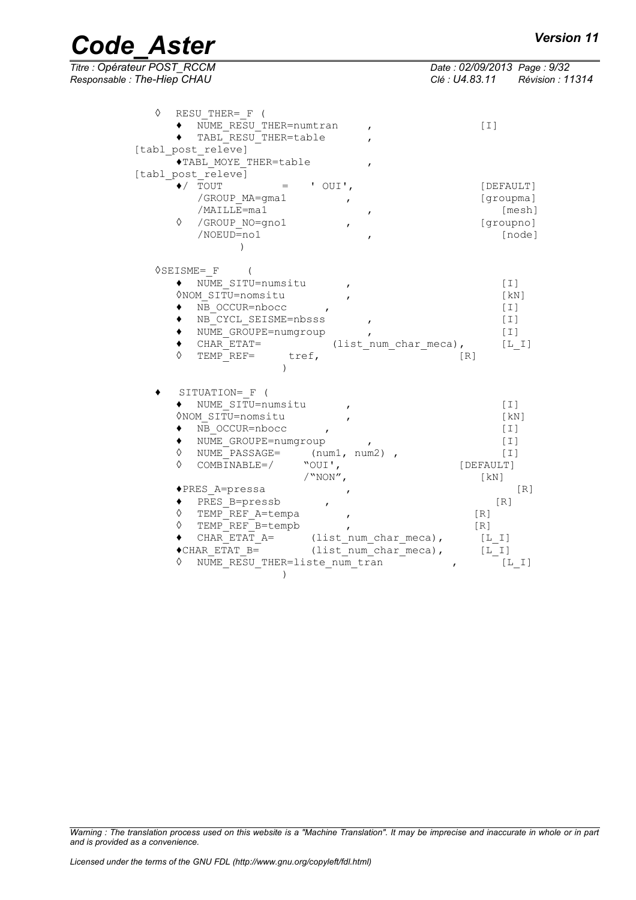| <b>Code Aster</b> | <b>Version 11</b> |
|-------------------|-------------------|
|-------------------|-------------------|

| Titre : Opérateur POST_RCCM<br>Responsable : The-Hiep CHAU                                                                                                                                                                                                                                                                                                                                                                                                                                                                                                                                                                                                                                                   | Date: 02/09/2013 Page: 9/32<br>Clé : U4.83.11 Révision : 11314                 |
|--------------------------------------------------------------------------------------------------------------------------------------------------------------------------------------------------------------------------------------------------------------------------------------------------------------------------------------------------------------------------------------------------------------------------------------------------------------------------------------------------------------------------------------------------------------------------------------------------------------------------------------------------------------------------------------------------------------|--------------------------------------------------------------------------------|
| ♦<br>RESU THER= F (<br>NUME RESU THER=numtran<br>TABL RESU THER=table<br>[tabl post releve]                                                                                                                                                                                                                                                                                                                                                                                                                                                                                                                                                                                                                  | $[1]$                                                                          |
| ◆TABL MOYE THER=table<br>$\mathbf{r}$<br>[tabl post releve]<br>$\blacklozenge$ / TOUT<br>' $OUT'$ ,<br>$=$<br>/GROUP MA=gma1<br>/MAILLE=ma1<br>$\mathbf{r}$                                                                                                                                                                                                                                                                                                                                                                                                                                                                                                                                                  | [DEFAULT]<br>[groupma]<br>[mesh]                                               |
| ♦<br>/GROUP NO=gno1<br>/NOEUD=no1<br>$\lambda$                                                                                                                                                                                                                                                                                                                                                                                                                                                                                                                                                                                                                                                               | [groupno]<br>[node]                                                            |
| $\Diamond$ SEISME= $_F$<br>NUME SITU=numsitu<br>ONOM SITU=nomsitu<br>NB_OCCUR=nbocc<br>٠<br>NB CYCL SEISME=nbsss<br>NUME GROUPE=numgroup<br>$CHAR$ $ETAT=$<br>٠<br>(list num char meca),<br>♦<br>TEMP REF= tref,                                                                                                                                                                                                                                                                                                                                                                                                                                                                                             | $[1]$<br>[KN]<br>$[1]$<br>$[1]$<br>$[1]$<br>[L I]<br>[R]                       |
| SITUATION= F (<br>NUME SITU=numsitu<br>$\bullet$<br>ONOM SITU=nomsitu<br>NB OCCUR=nbocc<br>$\mathbf{r}$<br>NUME GROUPE=numgroup<br>$\bullet$<br>NUME PASSAGE= (num1, num2),<br>♦<br>♦<br>$\texttt{COMBINABLE} = \texttt{\texttt{\texttt{\char'130}}\xspace} \qquad \texttt{\texttt{\texttt{\char'130}}\xspace} \texttt{\texttt{\char'130}} \qquad \texttt{\texttt{\char'130}} \qquad \texttt{\texttt{\char'130}} \qquad \texttt{\texttt{\char'130}} \qquad \texttt{\texttt{\char'130}} \qquad \texttt{\texttt{\char'130}} \qquad \texttt{\texttt{\char'130}} \qquad \texttt{\texttt{\char'130}} \qquad \texttt{\texttt{\char'130}} \qquad \texttt{\texttt{\char'130}} \qquad \texttt{\char'23$<br>$/$ "NON", | $[1]$<br>[KN]<br>$[1]$<br>$[1]$<br>$[1]$<br>[DEFAULT]<br>[KN]                  |
| ◆PRES A=pressa<br>PRES B=pressb<br>$\bullet$<br>$\mathbf{r}$<br>♦<br>TEMP REF A=tempa<br>$\mathbf{r}$<br>♦<br>TEMP REF B=tempb<br>CHAR ETAT $A =$ (list num char meca),<br>$\bullet$ CHAR_ETAT B=<br>(list num char meca),<br>NUME RESU THER=liste num tran<br>♦<br>$\lambda$                                                                                                                                                                                                                                                                                                                                                                                                                                | [R]<br>[R]<br>[R]<br>[R]<br>$[L \tI]$<br>$[\ L\_I\ ]$<br>[L I]<br>$\mathbf{r}$ |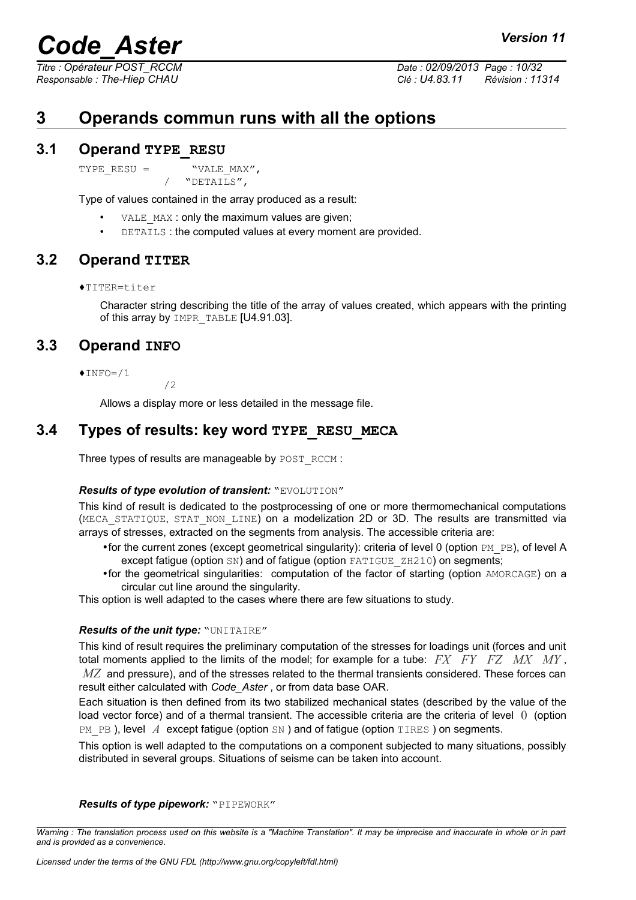*Titre : Opérateur POST\_RCCM Date : 02/09/2013 Page : 10/32 Responsable : The-Hiep CHAU Clé : U4.83.11 Révision : 11314*

## <span id="page-9-4"></span>**3 Operands commun runs with all the options**

#### **3.1 Operand TYPE\_RESU**

<span id="page-9-3"></span>TYPE RESU =  $WVALE$  MAX",

/ "DETAILS",

Type of values contained in the array produced as a result:

- VALE MAX : only the maximum values are given;
- DETAILS: the computed values at every moment are provided.

#### **3.2 Operand TITER**

<span id="page-9-2"></span>♦TITER=titer

Character string describing the title of the array of values created, which appears with the printing of this array by IMPR\_TABLE [U4.91.03].

### **3.3 Operand INFO**

<span id="page-9-1"></span> $\times$ INFO=/1

 $/2$ 

<span id="page-9-0"></span>Allows a display more or less detailed in the message file.

#### **3.4 Types of results: key word TYPE\_RESU\_MECA**

Three types of results are manageable by POST\_RCCM :

#### *Results of type evolution of transient:* "EVOLUTION"

This kind of result is dedicated to the postprocessing of one or more thermomechanical computations (MECA STATIQUE, STAT NON LINE) on a modelization 2D or 3D. The results are transmitted via arrays of stresses, extracted on the segments from analysis. The accessible criteria are:

- for the current zones (except geometrical singularity): criteria of level 0 (option  $PM$   $PB$ ), of level A except fatigue (option SN) and of fatigue (option FATIGUE ZH210) on segments;
- •for the geometrical singularities: computation of the factor of starting (option AMORCAGE) on a circular cut line around the singularity.

This option is well adapted to the cases where there are few situations to study.

#### *Results of the unit type:* "UNITAIRE"

This kind of result requires the preliminary computation of the stresses for loadings unit (forces and unit total moments applied to the limits of the model; for example for a tube: *FX FY FZ MX MY* , *MZ* and pressure), and of the stresses related to the thermal transients considered. These forces can result either calculated with *Code\_Aster* , or from data base OAR.

Each situation is then defined from its two stabilized mechanical states (described by the value of the load vector force) and of a thermal transient. The accessible criteria are the criteria of level 0 (option PM PB ), level *A* except fatigue (option SN ) and of fatigue (option TIRES ) on segments.

This option is well adapted to the computations on a component subjected to many situations, possibly distributed in several groups. Situations of seisme can be taken into account.

#### *Results of type pipework:* "PIPEWORK"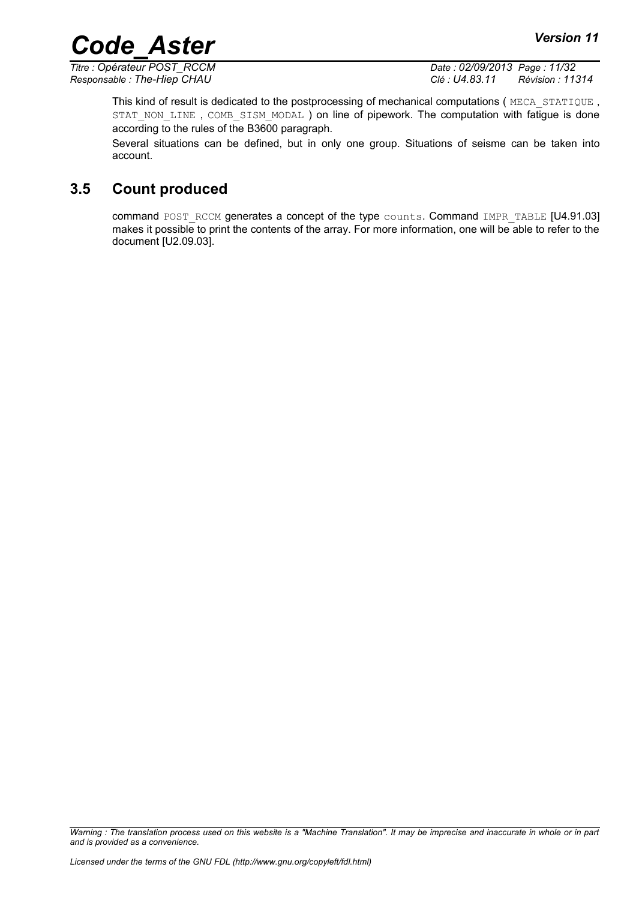*Titre : Opérateur POST\_RCCM Date : 02/09/2013 Page : 11/32 Responsable : The-Hiep CHAU Clé : U4.83.11 Révision : 11314*

This kind of result is dedicated to the postprocessing of mechanical computations (MECA\_STATIQUE, STAT NON LINE, COMB SISM MODAL ) on line of pipework. The computation with fatigue is done according to the rules of the B3600 paragraph.

Several situations can be defined, but in only one group. Situations of seisme can be taken into account.

### **3.5 Count produced**

<span id="page-10-0"></span>command POST\_RCCM generates a concept of the type counts. Command IMPR\_TABLE [U4.91.03] makes it possible to print the contents of the array. For more information, one will be able to refer to the document [U2.09.03].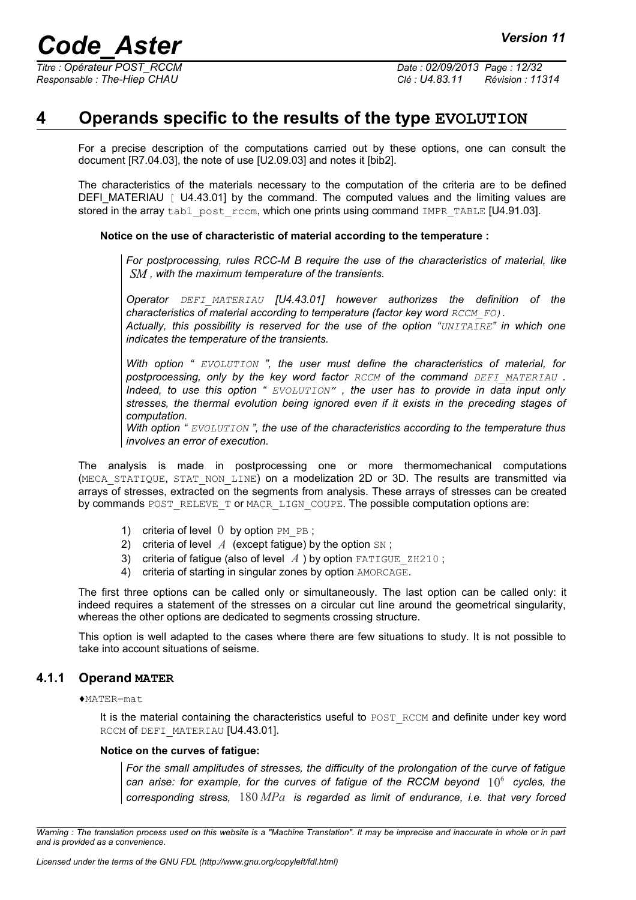## **4 Operands specific to the results of the type EVOLUTION**

<span id="page-11-1"></span>For a precise description of the computations carried out by these options, one can consult the document [R7.04.03], the note of use [U2.09.03] and notes it [bib2].

The characteristics of the materials necessary to the computation of the criteria are to be defined DEFI\_MATERIAU  $\lceil$  U4.43.01] by the command. The computed values and the limiting values are stored in the array  $t$  ablished post  $rccm$ , which one prints using command IMPR, TABLE [U4.91.03].

#### **Notice on the use of characteristic of material according to the temperature :**

*For postprocessing, rules RCC-M B require the use of the characteristics of material, like SM , with the maximum temperature of the transients.* 

*Operator DEFI\_MATERIAU [U4.43.01] however authorizes the definition of the characteristics of material according to temperature (factor key word*  $RCCMFOL$ *)*.

*Actually, this possibility is reserved for the use of the option "UNITAIRE" in which one indicates the temperature of the transients.*

*With option " EVOLUTION ", the user must define the characteristics of material, for postprocessing, only by the key word factor RCCM of the command DEFI\_MATERIAU . Indeed, to use this option " EVOLUTION" , the user has to provide in data input only stresses, the thermal evolution being ignored even if it exists in the preceding stages of computation.*

*With option " EVOLUTION ", the use of the characteristics according to the temperature thus involves an error of execution.*

The analysis is made in postprocessing one or more thermomechanical computations (MECA STATIQUE, STAT NON LINE) on a modelization 2D or 3D. The results are transmitted via arrays of stresses, extracted on the segments from analysis. These arrays of stresses can be created by commands POST\_RELEVE\_T or MACR\_LIGN\_COUPE. The possible computation options are:

- 1) criteria of level  $0$  by option PM PB;
- 2) criteria of level  $A$  (except fatigue) by the option  $\text{SN}$ ;
- 3) criteria of fatigue (also of level  $A$ ) by option FATIGUE ZH210;
- 4) criteria of starting in singular zones by option AMORCAGE.

The first three options can be called only or simultaneously. The last option can be called only: it indeed requires a statement of the stresses on a circular cut line around the geometrical singularity, whereas the other options are dedicated to segments crossing structure.

This option is well adapted to the cases where there are few situations to study. It is not possible to take into account situations of seisme.

#### **4.1.1 Operand MATER**

<span id="page-11-0"></span>♦MATER=mat

It is the material containing the characteristics useful to POST\_RCCM and definite under key word RCCM of DEFI\_MATERIAU [U4.43.01].

#### **Notice on the curves of fatigue:**

*For the small amplitudes of stresses, the difficulty of the prolongation of the curve of fatigue* can arise: for example, for the curves of fatigue of the RCCM beyond  $10^6\,$  cycles, the *corresponding stress,* 180 *MPa is regarded as limit of endurance, i.e. that very forced*

*Warning : The translation process used on this website is a "Machine Translation". It may be imprecise and inaccurate in whole or in part and is provided as a convenience.*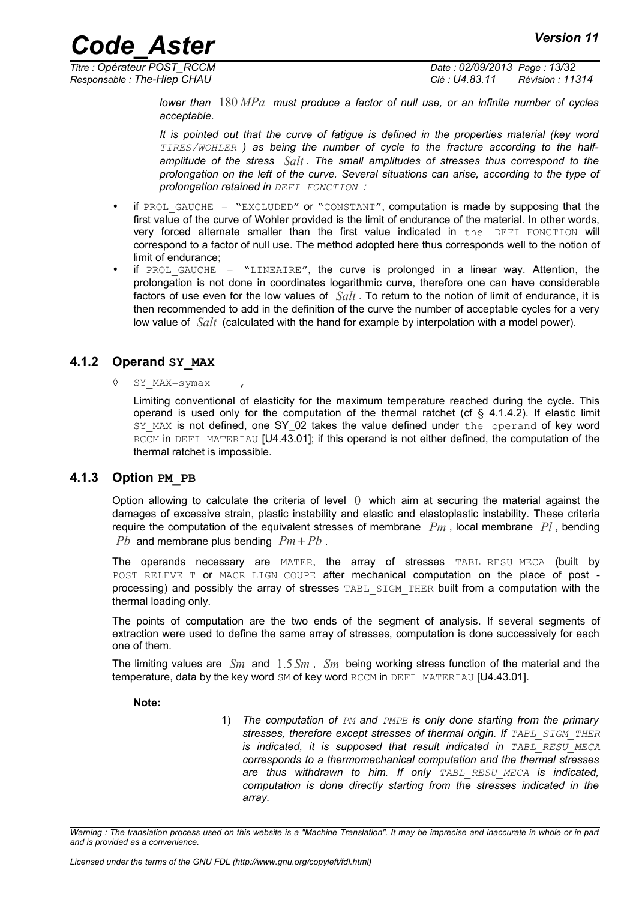*Titre : Opérateur POST\_RCCM Date : 02/09/2013 Page : 13/32 Responsable : The-Hiep CHAU Clé : U4.83.11 Révision : 11314*

> *lower than* 180 *MPa must produce a factor of null use, or an infinite number of cycles acceptable.*

> *It is pointed out that the curve of fatigue is defined in the properties material (key word TIRES/WOHLER ) as being the number of cycle to the fracture according to the halfamplitude of the stress Salt . The small amplitudes of stresses thus correspond to the prolongation on the left of the curve. Several situations can arise, according to the type of prolongation retained in DEFI\_FONCTION :*

- if PROL GAUCHE = "EXCLUDED" or "CONSTANT", computation is made by supposing that the first value of the curve of Wohler provided is the limit of endurance of the material. In other words, very forced alternate smaller than the first value indicated in the DEFI FONCTION will correspond to a factor of null use. The method adopted here thus corresponds well to the notion of limit of endurance;
- if PROL GAUCHE = "LINEAIRE", the curve is prolonged in a linear way. Attention, the prolongation is not done in coordinates logarithmic curve, therefore one can have considerable factors of use even for the low values of *Salt* . To return to the notion of limit of endurance, it is then recommended to add in the definition of the curve the number of acceptable cycles for a very low value of *Salt* (calculated with the hand for example by interpolation with a model power).

#### **4.1.2 Operand SY\_MAX**

<span id="page-12-1"></span>◊ SY\_MAX=symax ,

Limiting conventional of elasticity for the maximum temperature reached during the cycle. This operand is used only for the computation of the thermal ratchet (cf  $\S$  [4.1.4.2\)](#page-13-2). If elastic limit SY MAX is not defined, one SY 02 takes the value defined under the operand of key word RCCM in DEFI\_MATERIAU [U4.43.01]; if this operand is not either defined, the computation of the thermal ratchet is impossible.

#### **4.1.3 Option PM\_PB**

<span id="page-12-0"></span>Option allowing to calculate the criteria of level  $\theta$  which aim at securing the material against the damages of excessive strain, plastic instability and elastic and elastoplastic instability. These criteria require the computation of the equivalent stresses of membrane *Pm* , local membrane *Pl* , bending *Pb* and membrane plus bending  $Pm + Pb$ .

The operands necessary are MATER, the array of stresses TABL\_RESU\_MECA (built by POST RELEVE T OF MACR LIGN COUPE after mechanical computation on the place of post processing) and possibly the array of stresses TABL\_SIGM\_THER built from a computation with the thermal loading only.

The points of computation are the two ends of the segment of analysis. If several segments of extraction were used to define the same array of stresses, computation is done successively for each one of them.

The limiting values are *Sm* and 1.5*Sm* , *Sm* being working stress function of the material and the temperature, data by the key word SM of key word RCCM in DEFI\_MATERIAU [U4.43.01].

**Note:**

1) *The computation of PM and PMPB is only done starting from the primary* stresses, therefore except stresses of thermal origin. If TABL SIGM THER *is indicated, it is supposed that result indicated in TABL\_RESU\_MECA corresponds to a thermomechanical computation and the thermal stresses are thus withdrawn to him. If only TABL\_RESU\_MECA is indicated, computation is done directly starting from the stresses indicated in the array.*

*Warning : The translation process used on this website is a "Machine Translation". It may be imprecise and inaccurate in whole or in part and is provided as a convenience.*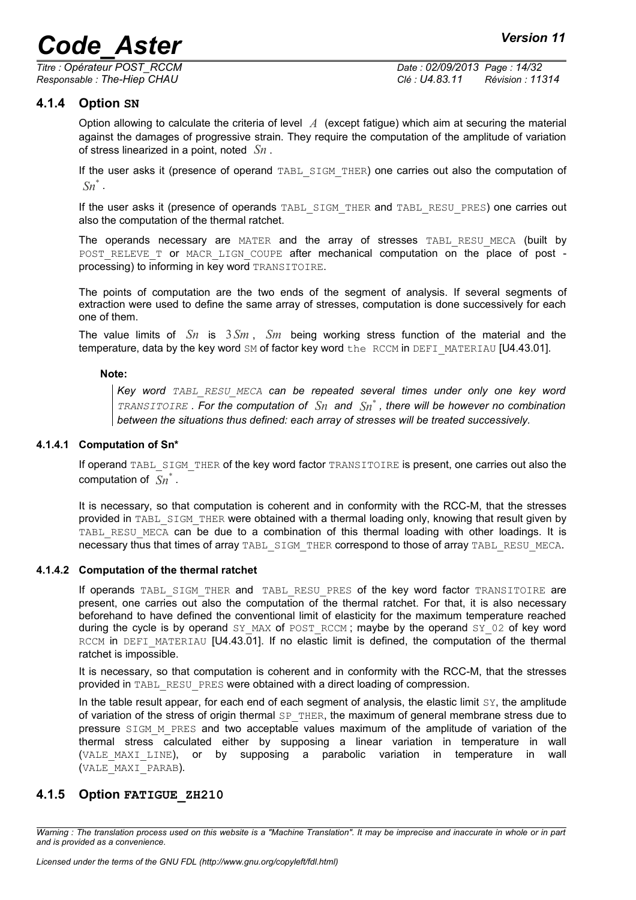*Titre : Opérateur POST\_RCCM Date : 02/09/2013 Page : 14/32*

*Responsable : The-Hiep CHAU Clé : U4.83.11 Révision : 11314*

#### **4.1.4 Option SN**

<span id="page-13-1"></span>Option allowing to calculate the criteria of level *A* (except fatigue) which aim at securing the material against the damages of progressive strain. They require the computation of the amplitude of variation of stress linearized in a point, noted *Sn* .

If the user asks it (presence of operand TABL SIGM THER) one carries out also the computation of *Sn*\* .

If the user asks it (presence of operands TABL\_SIGM\_THER and TABL\_RESU\_PRES) one carries out also the computation of the thermal ratchet.

The operands necessary are MATER and the array of stresses TABL RESU MECA (built by POST RELEVE T OF MACR LIGN COUPE after mechanical computation on the place of post processing) to informing in key word TRANSITOIRE.

The points of computation are the two ends of the segment of analysis. If several segments of extraction were used to define the same array of stresses, computation is done successively for each one of them.

The value limits of *Sn* is 3*Sm* , *Sm* being working stress function of the material and the temperature, data by the key word SM of factor key word the RCCM in DEFI\_MATERIAU [U4.43.01].

#### **Note:**

*Key word TABL\_RESU\_MECA can be repeated several times under only one key word TRANSITOIRE . For the computation of Sn and Sn*\* *, there will be however no combination between the situations thus defined: each array of stresses will be treated successively.*

#### **4.1.4.1 Computation of Sn\***

<span id="page-13-3"></span>If operand TABL\_SIGM\_THER of the key word factor TRANSITOIRE is present, one carries out also the computation of *Sn*\* .

It is necessary, so that computation is coherent and in conformity with the RCC-M, that the stresses provided in TABL SIGM THER were obtained with a thermal loading only, knowing that result given by TABL RESU MECA can be due to a combination of this thermal loading with other loadings. It is necessary thus that times of array TABL\_SIGM\_THER correspond to those of array TABL\_RESU\_MECA.

#### **4.1.4.2 Computation of the thermal ratchet**

<span id="page-13-2"></span>If operands TABL SIGM THER and TABL RESU PRES of the key word factor TRANSITOIRE are present, one carries out also the computation of the thermal ratchet. For that, it is also necessary beforehand to have defined the conventional limit of elasticity for the maximum temperature reached during the cycle is by operand  $SY$  MAX of POST RCCM; maybe by the operand  $SY$  02 of key word RCCM in DEFI\_MATERIAU [U4.43.01]. If no elastic limit is defined, the computation of the thermal ratchet is impossible.

It is necessary, so that computation is coherent and in conformity with the RCC-M, that the stresses provided in TABL\_RESU\_PRES were obtained with a direct loading of compression.

In the table result appear, for each end of each segment of analysis, the elastic limit  $S_Y$ , the amplitude of variation of the stress of origin thermal  $SP$  THER, the maximum of general membrane stress due to pressure SIGM M PRES and two acceptable values maximum of the amplitude of variation of the thermal stress calculated either by supposing a linear variation in temperature in wall (VALE MAXI LINE), or by supposing a parabolic variation in temperature in wall (VALE\_MAXI\_PARAB).

#### <span id="page-13-0"></span>**4.1.5 Option FATIGUE\_ZH210**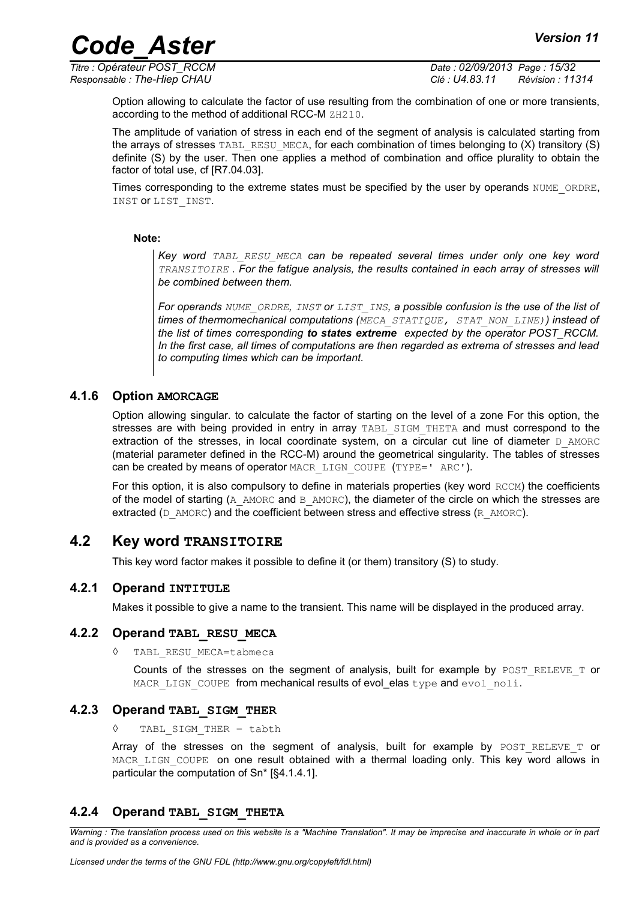*Titre : Opérateur POST\_RCCM Date : 02/09/2013 Page : 15/32 Responsable : The-Hiep CHAU Clé : U4.83.11 Révision : 11314*

Option allowing to calculate the factor of use resulting from the combination of one or more transients, according to the method of additional RCC-M ZH210.

The amplitude of variation of stress in each end of the segment of analysis is calculated starting from the arrays of stresses TABL\_RESU\_MECA, for each combination of times belonging to  $(X)$  transitory  $(S)$ definite (S) by the user. Then one applies a method of combination and office plurality to obtain the factor of total use, cf [R7.04.03].

Times corresponding to the extreme states must be specified by the user by operands NUME\_ORDRE, INST or LIST\_INST.

**Note:**

*Key word TABL\_RESU\_MECA can be repeated several times under only one key word TRANSITOIRE . For the fatigue analysis, the results contained in each array of stresses will be combined between them.*

*For operands NUME\_ORDRE, INST or LIST\_INS, a possible confusion is the use of the list of times of thermomechanical computations (MECA\_STATIQUE, STAT\_NON\_LINE)) instead of the list of times corresponding to states extreme expected by the operator POST\_RCCM. In the first case, all times of computations are then regarded as extrema of stresses and lead to computing times which can be important.* 

#### **4.1.6 Option AMORCAGE**

<span id="page-14-5"></span>Option allowing singular. to calculate the factor of starting on the level of a zone For this option, the stresses are with being provided in entry in array TABL SIGM THETA and must correspond to the extraction of the stresses, in local coordinate system, on a circular cut line of diameter  $D$  AMORC (material parameter defined in the RCC-M) around the geometrical singularity. The tables of stresses can be created by means of operator MACR\_LIGN\_COUPE (TYPE=' ARC').

For this option, it is also compulsory to define in materials properties (key word RCCM) the coefficients of the model of starting (A\_AMORC and B\_AMORC), the diameter of the circle on which the stresses are extracted ( $D$  AMORC) and the coefficient between stress and effective stress ( $R$  AMORC).

#### **4.2 Key word TRANSITOIRE**

<span id="page-14-4"></span>This key word factor makes it possible to define it (or them) transitory (S) to study.

#### **4.2.1 Operand INTITULE**

<span id="page-14-3"></span>Makes it possible to give a name to the transient. This name will be displayed in the produced array.

#### **4.2.2 Operand TABL\_RESU\_MECA**

<span id="page-14-2"></span>◊ TABL\_RESU\_MECA=tabmeca

Counts of the stresses on the segment of analysis, built for example by POST RELEVE T or MACR LIGN COUPE from mechanical results of evol\_elas type and evol noli.

#### **4.2.3 Operand TABL\_SIGM\_THER**

<span id="page-14-1"></span>TABL SIGM THER = tabth

Array of the stresses on the segment of analysis, built for example by  $POST$  RELEVE T or MACR LIGN COUPE on one result obtained with a thermal loading only. This key word allows in particular the computation of Sn\* [[§4.1.4.1\]](#page-13-3).

#### <span id="page-14-0"></span>**4.2.4 Operand TABL\_SIGM\_THETA**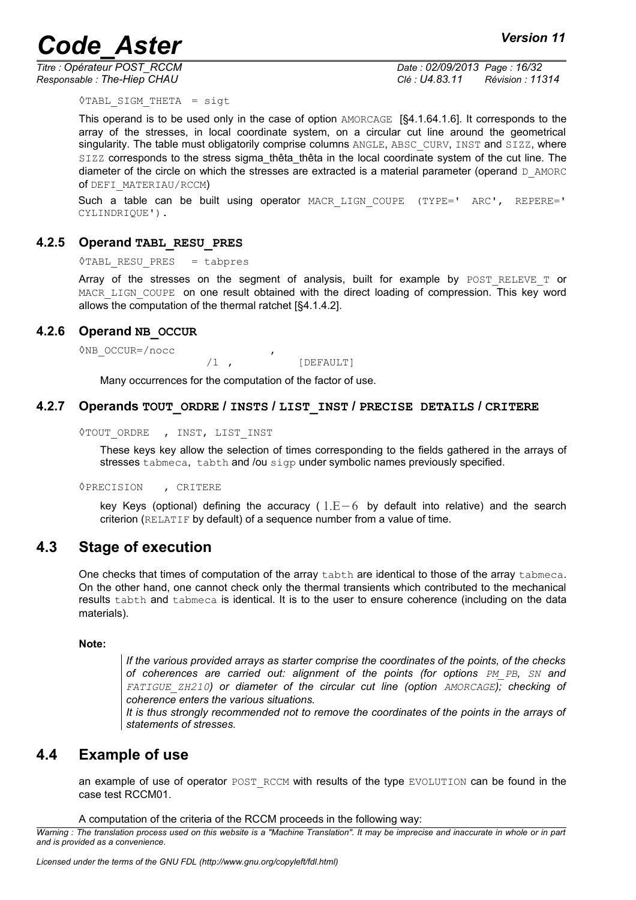*Titre : Opérateur POST\_RCCM Date : 02/09/2013 Page : 16/32*

*Responsable : The-Hiep CHAU Clé : U4.83.11 Révision : 11314*

 $\Diamond$ TABL SIGM THETA = sigt

This operand is to be used only in the case of option AMORCAGE [§4.1.[64.1.6\]](#page-14-5). It corresponds to the array of the stresses, in local coordinate system, on a circular cut line around the geometrical singularity. The table must obligatorily comprise columns ANGLE, ABSC CURV, INST and SIZZ, where SIZZ corresponds to the stress sigma\_thêta\_thêta in the local coordinate system of the cut line. The diameter of the circle on which the stresses are extracted is a material parameter (operand  $D$  AMORC of DEFI\_MATERIAU/RCCM)

Such a table can be built using operator MACR LIGN COUPE (TYPE=' ARC', REPERE=' CYLINDRIQUE').

#### **4.2.5 Operand TABL\_RESU\_PRES**

<span id="page-15-4"></span>◊TABL\_RESU\_PRES = tabpres

Array of the stresses on the segment of analysis, built for example by  $POST RELEVET$  or MACR\_LIGN\_COUPE on one result obtained with the direct loading of compression. This key word allows the computation of the thermal ratchet [[§4.1.4.2\]](#page-13-2).

#### **4.2.6 Operand NB\_OCCUR**

<span id="page-15-3"></span>◊NB\_OCCUR=/nocc ,

/1 , [DEFAULT]

Many occurrences for the computation of the factor of use.

#### **4.2.7 Operands TOUT\_ORDRE / INSTS / LIST\_INST / PRECISE DETAILS / CRITERE**

<span id="page-15-2"></span>◊TOUT\_ORDRE , INST, LIST\_INST

These keys key allow the selection of times corresponding to the fields gathered in the arrays of stresses tabmeca, tabth and /ou sigp under symbolic names previously specified.

◊PRECISION , CRITERE

key Keys (optional) defining the accuracy (  $1.E-6$  by default into relative) and the search criterion (RELATIF by default) of a sequence number from a value of time.

### **4.3 Stage of execution**

<span id="page-15-1"></span>One checks that times of computation of the array tabth are identical to those of the array tabmeca. On the other hand, one cannot check only the thermal transients which contributed to the mechanical results tabth and tabmeca is identical. It is to the user to ensure coherence (including on the data materials).

#### **Note:**

*If the various provided arrays as starter comprise the coordinates of the points, of the checks of coherences are carried out: alignment of the points (for options PM\_PB, SN and FATIGUE\_ZH210) or diameter of the circular cut line (option AMORCAGE); checking of coherence enters the various situations.*

*It is thus strongly recommended not to remove the coordinates of the points in the arrays of statements of stresses.*

### **4.4 Example of use**

<span id="page-15-0"></span>an example of use of operator POST\_RCCM with results of the type EVOLUTION can be found in the case test RCCM01.

A computation of the criteria of the RCCM proceeds in the following way:

*Warning : The translation process used on this website is a "Machine Translation". It may be imprecise and inaccurate in whole or in part and is provided as a convenience.*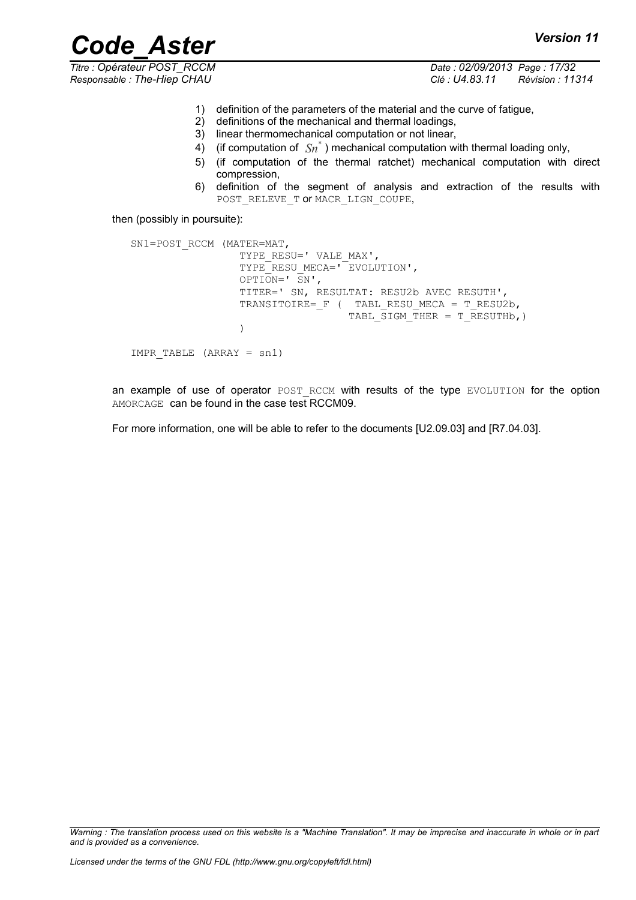*Titre : Opérateur POST\_RCCM Date : 02/09/2013 Page : 17/32 Responsable : The-Hiep CHAU Clé : U4.83.11 Révision : 11314*

- 1) definition of the parameters of the material and the curve of fatigue,
- 2) definitions of the mechanical and thermal loadings,
- 3) linear thermomechanical computation or not linear,
- 4) (if computation of  $\overline{\mathit{Sn}}^*$ ) mechanical computation with thermal loading only,
- 5) (if computation of the thermal ratchet) mechanical computation with direct compression,
- 6) definition of the segment of analysis and extraction of the results with POST\_RELEVE\_T OF MACR\_LIGN\_COUPE,

then (possibly in poursuite):

```
SN1=POST_RCCM (MATER=MAT, 
                 TYPE_RESU=' VALE_MAX',
                 TYPE<sup>RESUMECA=' EVOLUTION',</sup>
                 OPTION=' \overline{S}N',
                  TITER=' SN, RESULTAT: RESU2b AVEC RESUTH', 
                 TRANSITOIRE= F ( TABL RESU MECA = T RESU2b,
                                   TABL SIGM THER = T RESUTHb, ) )
IMPR_TABLE (ARRAY = sn1)
```
an example of use of operator POST RCCM with results of the type EVOLUTION for the option AMORCAGE can be found in the case test RCCM09.

For more information, one will be able to refer to the documents [U2.09.03] and [R7.04.03].

*Warning : The translation process used on this website is a "Machine Translation". It may be imprecise and inaccurate in whole or in part and is provided as a convenience.*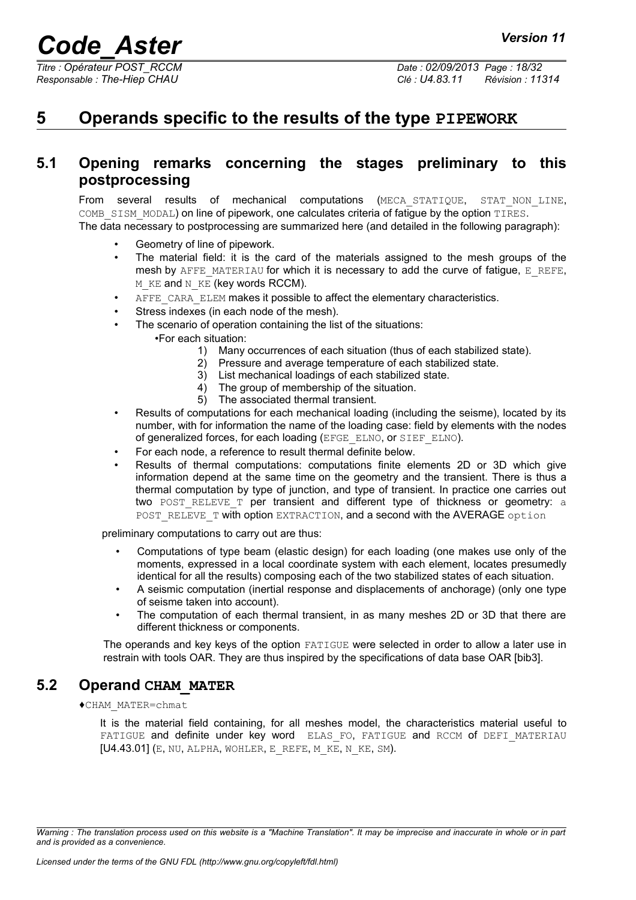## <span id="page-17-2"></span>**5 Operands specific to the results of the type PIPEWORK**

### **5.1 Opening remarks concerning the stages preliminary to this postprocessing**

<span id="page-17-1"></span>From several results of mechanical computations (MECA\_STATIQUE, STAT\_NON\_LINE, COMB SISM MODAL) on line of pipework, one calculates criteria of fatigue by the option TIRES. The data necessary to postprocessing are summarized here (and detailed in the following paragraph):

- Geometry of line of pipework.
- The material field: it is the card of the materials assigned to the mesh groups of the mesh by  $A$ FFE\_MATERIAU for which it is necessary to add the curve of fatigue, E\_REFE, M\_KE and N\_KE (key words RCCM).
	- AFFE CARA ELEM makes it possible to affect the elementary characteristics.
- Stress indexes (in each node of the mesh).
- The scenario of operation containing the list of the situations:
	- •For each situation:
		- 1) Many occurrences of each situation (thus of each stabilized state).
		- 2) Pressure and average temperature of each stabilized state.
		- 3) List mechanical loadings of each stabilized state.
		- 4) The group of membership of the situation.
		- 5) The associated thermal transient.
- Results of computations for each mechanical loading (including the seisme), located by its number, with for information the name of the loading case: field by elements with the nodes of generalized forces, for each loading (EFGE\_ELNO, or SIEF\_ELNO).
- For each node, a reference to result thermal definite below.
- Results of thermal computations: computations finite elements 2D or 3D which give information depend at the same time on the geometry and the transient. There is thus a thermal computation by type of junction, and type of transient. In practice one carries out two POST RELEVE T per transient and different type of thickness or geometry: a POST\_RELEVE\_T with option EXTRACTION, and a second with the AVERAGE option

preliminary computations to carry out are thus:

- Computations of type beam (elastic design) for each loading (one makes use only of the moments, expressed in a local coordinate system with each element, locates presumedly identical for all the results) composing each of the two stabilized states of each situation.
- A seismic computation (inertial response and displacements of anchorage) (only one type of seisme taken into account).
- The computation of each thermal transient, in as many meshes 2D or 3D that there are different thickness or components.

The operands and key keys of the option FATIGUE were selected in order to allow a later use in restrain with tools OAR. They are thus inspired by the specifications of data base OAR [bib3].

#### **5.2 Operand CHAM\_MATER**

<span id="page-17-0"></span>♦CHAM\_MATER=chmat

It is the material field containing, for all meshes model, the characteristics material useful to FATIGUE and definite under key word ELAS FO, FATIGUE and RCCM of DEFI MATERIAU [U4.43.01] (E, NU, ALPHA, WOHLER, E\_REFE, M\_KE, N\_KE, SM).

*Warning : The translation process used on this website is a "Machine Translation". It may be imprecise and inaccurate in whole or in part and is provided as a convenience.*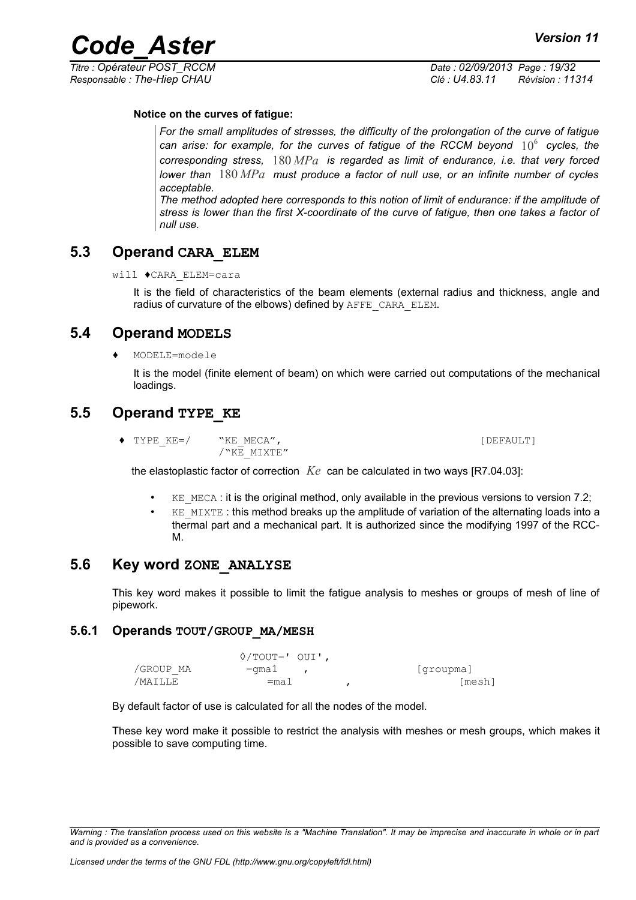#### **Notice on the curves of fatigue:**

*For the small amplitudes of stresses, the difficulty of the prolongation of the curve of fatigue* can arise: for example, for the curves of fatigue of the RCCM beyond  $\,10^6\,$  cycles, the *corresponding stress,* 180 *MPa is regarded as limit of endurance, i.e. that very forced lower than* 180 *MPa must produce a factor of null use, or an infinite number of cycles acceptable.* 

*The method adopted here corresponds to this notion of limit of endurance: if the amplitude of stress is lower than the first X-coordinate of the curve of fatigue, then one takes a factor of null use.*

### **5.3 Operand CARA\_ELEM**

<span id="page-18-4"></span>will ♦CARA\_ELEM=cara

It is the field of characteristics of the beam elements (external radius and thickness, angle and radius of curvature of the elbows) defined by AFFE\_CARA\_ELEM.

#### **5.4 Operand MODELS**

<span id="page-18-3"></span>♦ MODELE=modele

It is the model (finite element of beam) on which were carried out computations of the mechanical loadings.

#### **5.5 Operand TYPE\_KE**

<span id="page-18-2"></span>◆ TYPE\_KE=/ "KE\_MECA", interval in the set of the set of the set of the set of the set of the set of the set of the set of the set of the set of the set of the set of the set of the set of the set of the set of the set of /"KE\_MIXTE"

the elastoplastic factor of correction *Ke* can be calculated in two ways [R7.04.03]:

- $KE$  MECA : it is the original method, only available in the previous versions to version 7.2;
- KE\_MIXTE : this method breaks up the amplitude of variation of the alternating loads into a thermal part and a mechanical part. It is authorized since the modifying 1997 of the RCC-M.

#### **5.6 Key word ZONE\_ANALYSE**

<span id="page-18-1"></span>This key word makes it possible to limit the fatigue analysis to meshes or groups of mesh of line of pipework.

#### **5.6.1 Operands TOUT/GROUP\_MA/MESH**

<span id="page-18-0"></span>◊/TOUT=' OUI', /GROUP MA = qma1 , [groupma]  $\sqrt{MAILLE}$  =ma1 , [mesh]

By default factor of use is calculated for all the nodes of the model.

These key word make it possible to restrict the analysis with meshes or mesh groups, which makes it possible to save computing time.

*Warning : The translation process used on this website is a "Machine Translation". It may be imprecise and inaccurate in whole or in part and is provided as a convenience.*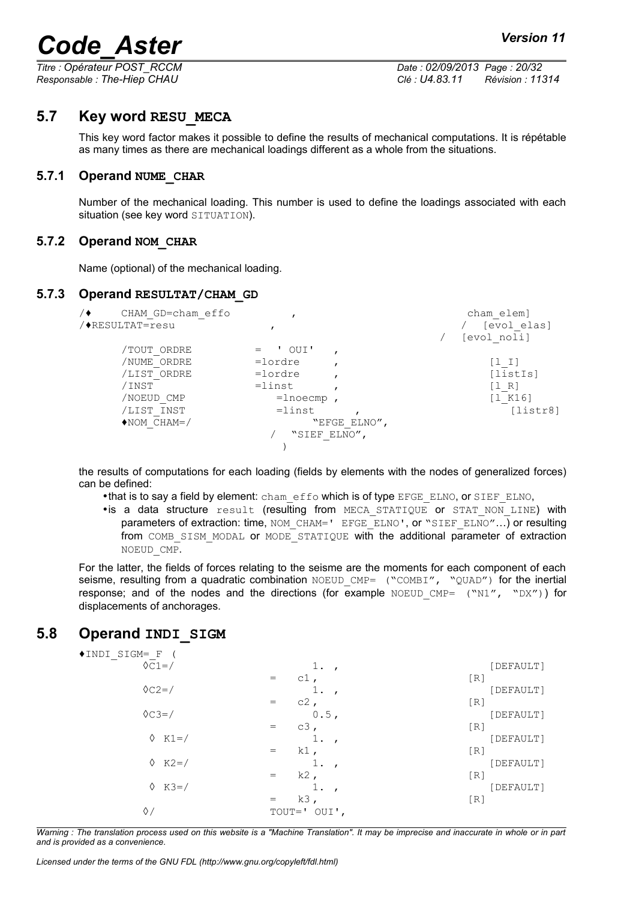*Titre : Opérateur POST\_RCCM Date : 02/09/2013 Page : 20/32 Responsable : The-Hiep CHAU Clé : U4.83.11 Révision : 11314*

#### **5.7 Key word RESU\_MECA**

<span id="page-19-3"></span>This key word factor makes it possible to define the results of mechanical computations. It is répétable as many times as there are mechanical loadings different as a whole from the situations.

#### **5.7.1 Operand NUME\_CHAR**

<span id="page-19-2"></span>Number of the mechanical loading. This number is used to define the loadings associated with each situation (see key word SITUATION).

#### **5.7.2 Operand NOM\_CHAR**

<span id="page-19-1"></span>Name (optional) of the mechanical loading.

#### **5.7.3 Operand RESULTAT/CHAM\_GD**

```
/♦ CHAM_GD=cham_effo , cham_elem]
                 / [evol elas]
                                / [evol noli]
   /TOUT_ORDRE = ' OUI' ,
   /NUME<sup>T</sup>ORDRE =lordre , [1_I]
   /LIST_ORDRE =lordre , [listIs]
   /INST = linst , [1 R]
   /NOEUD CMP = lnoecmp , [l_K16]
   /LIST_INST =linst , \overline{CHAM} =linst , \overline{CHAM} [listr8]
   \bulletNOM_CHAM=/
                 / "SIEF_ELNO",
         )
```
the results of computations for each loading (fields by elements with the nodes of generalized forces) can be defined:

- •that is to say a field by element: cham\_effo which is of type EFGE\_ELNO, or SIEF\_ELNO,
- •is a data structure result (resulting from MECA\_STATIQUE or STAT\_NON\_LINE) with parameters of extraction: time, NOM\_CHAM=' EFGE\_ELNO', or "SIEF\_ELNO"...) or resulting from COMB SISM MODAL or MODE STATIQUE with the additional parameter of extraction NOEUD\_CMP.

For the latter, the fields of forces relating to the seisme are the moments for each component of each seisme, resulting from a quadratic combination NOEUD CMP= ("COMBI", "QUAD") for the inertial response; and of the nodes and the directions (for example NOEUD CMP=  $("N1", "DX")$  for displacements of anchorages.

#### **5.8 Operand INDI\_SIGM**

<span id="page-19-4"></span>

| ◆INDI SIGM= F   |                                             |           |
|-----------------|---------------------------------------------|-----------|
| $\Diamond$ C1=/ | 1.                                          | [DEFAULT] |
|                 | $c1$ ,<br>$=$                               | [R]       |
| $\Diamond$ C2=/ |                                             | DEFAULT]  |
|                 | $c2$ ,<br>$=$                               | [R]       |
| $\Diamond$ C3=/ | 0.5,                                        | [DEFAULT] |
|                 | $c3$ ,<br>$\hspace{1.0cm} = \hspace{1.0cm}$ | [R]       |
| $\lozenge$ K1=/ |                                             | [DEFAULT] |
|                 | $k1$ ,<br>$=$                               | [R]       |
| $\lozenge$ K2=/ |                                             | [DEFAULT] |
|                 | $k2$ ,<br>$=$                               | [R]       |
| $&  K3 = /$     |                                             | [DEFAULT] |
|                 | $k3$ ,<br>$=$                               | [R]       |
| ♦.              | OUI',<br>$TOUT = '$                         |           |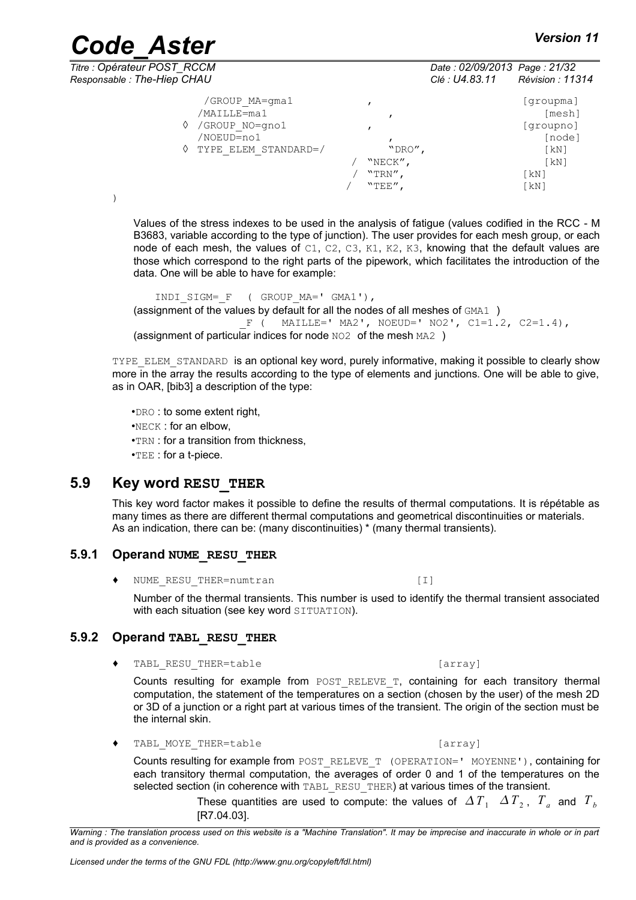| <b>Code Aster</b>                                                                              |                                       |                                                | <b>Version 11</b>                                                                                     |
|------------------------------------------------------------------------------------------------|---------------------------------------|------------------------------------------------|-------------------------------------------------------------------------------------------------------|
| Titre : Opérateur POST RCCM<br>Responsable: The-Hiep CHAU                                      |                                       | Date: 02/09/2013 Page: 21/32<br>Clé : U4.83.11 | Révision : 11314                                                                                      |
| /GROUP MA=gma1<br>/MAILLE=ma1<br>GROUP NO=gno1<br>♦<br>/NOEUD=no1<br>TYPE ELEM STANDARD=/<br>♦ | "DRO",<br>"NECK",<br>"TRN",<br>"TER", |                                                | groupma]<br>[mesh]<br>[groupno]<br>[node]<br>$\lceil kN \rceil$<br>$\lceil kN \rceil$<br>[kN]<br>[kN] |

Values of the stress indexes to be used in the analysis of fatigue (values codified in the RCC - M B3683, variable according to the type of junction). The user provides for each mesh group, or each node of each mesh, the values of  $C1$ ,  $C2$ ,  $C3$ ,  $K1$ ,  $K2$ ,  $K3$ , knowing that the default values are those which correspond to the right parts of the pipework, which facilitates the introduction of the data. One will be able to have for example:

INDI\_SIGM=\_F ( GROUP\_MA=' GMA1'), (assignment of the values by default for all the nodes of all meshes of GMA1 )  $F$  ( MAILLE=' MA2', NOEUD=' NO2', C1=1.2, C2=1.4), (assignment of particular indices for node NO2 of the mesh MA2 )

TYPE ELEM STANDARD is an optional key word, purely informative, making it possible to clearly show more in the array the results according to the type of elements and junctions. One will be able to give, as in OAR, [bib3] a description of the type:

•DRO : to some extent right, •NECK : for an elbow, •TRN : for a transition from thickness, •TEE : for a t-piece.

#### **5.9 Key word RESU\_THER**

<span id="page-20-2"></span>This key word factor makes it possible to define the results of thermal computations. It is répétable as many times as there are different thermal computations and geometrical discontinuities or materials. As an indication, there can be: (many discontinuities) \* (many thermal transients).

#### **5.9.1 Operand NUME\_RESU\_THER**

<span id="page-20-1"></span>NUME\_RESU\_THER=numtran [I]

Number of the thermal transients. This number is used to identify the thermal transient associated with each situation (see key word SITUATION).

#### **5.9.2 Operand TABL\_RESU\_THER**

<span id="page-20-0"></span>TABL RESU THER=table [array]

Counts resulting for example from POST RELEVE T, containing for each transitory thermal computation, the statement of the temperatures on a section (chosen by the user) of the mesh 2D or 3D of a junction or a right part at various times of the transient. The origin of the section must be the internal skin.

◆ TABL MOYE THER=table [array]

Counts resulting for example from POST\_RELEVE\_T (OPERATION=' MOYENNE'), containing for each transitory thermal computation, the averages of order 0 and 1 of the temperatures on the selected section (in coherence with TABL RESU THER) at various times of the transient.

> These quantities are used to compute: the values of  $\varDelta T_{1}$   $\varDelta T_{2}$ ,  $T_{a}$  and  $T_{b}$ [R7.04.03].

*Warning : The translation process used on this website is a "Machine Translation". It may be imprecise and inaccurate in whole or in part and is provided as a convenience.*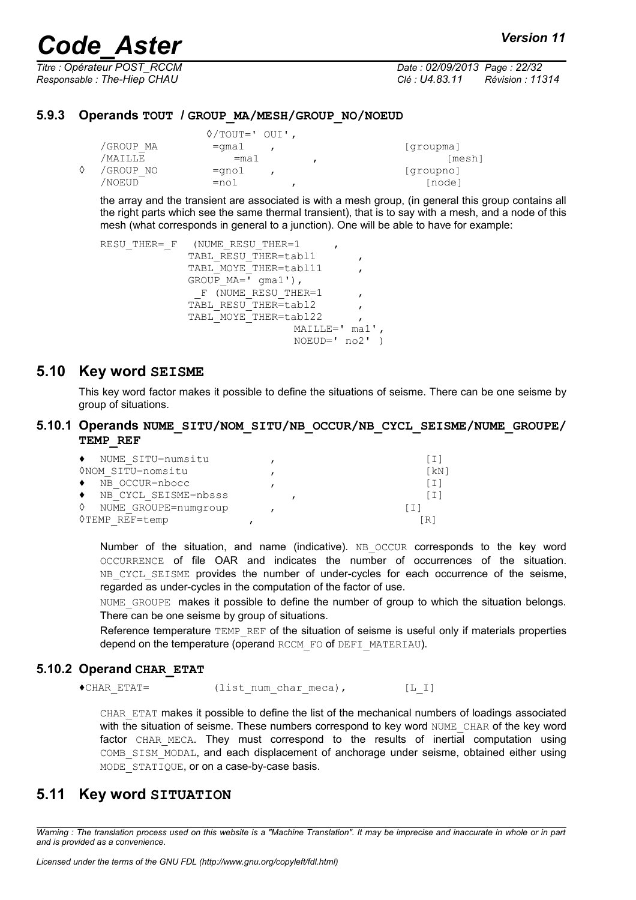*Titre : Opérateur POST\_RCCM Date : 02/09/2013 Page : 22/32*

*Responsable : The-Hiep CHAU Clé : U4.83.11 Révision : 11314*

#### **5.9.3 Operands TOUT / GROUP\_MA/MESH/GROUP\_NO/NOEUD**

<span id="page-21-4"></span>

|           | $\Diamond$ /TOUT=' OUI', |           |
|-----------|--------------------------|-----------|
| /GROUP MA | $=$ qmal                 | [groupma] |
| /MAILLE   | $=$ mal                  | [mesh]    |
| /GROUP NO | $=$ gno $1$              | [groupno] |
| 'NOEUD    | $=$ nol                  | [node]    |

the array and the transient are associated is with a mesh group, (in general this group contains all the right parts which see the same thermal transient), that is to say with a mesh, and a node of this mesh (what corresponds in general to a junction). One will be able to have for example:

```
RESU_THER=_F (NUME_RESU_THER=1
              TABL RESU THER=tabl1
              TABL_MOYE_THER=tabl11
              GROUP MA = \overline{V} qma1'),
                F (NUME RESU THER=1
              TABL RESU_THER=tabl2
              TABL_MOYE_THER=tabl22 ,
                                MAILLE=' ma1',
                                NOEUD=' no2' )
```
#### **5.10 Key word SEISME**

<span id="page-21-3"></span><span id="page-21-2"></span>This key word factor makes it possible to define the situations of seisme. There can be one seisme by group of situations.

#### **5.10.1 Operands NUME\_SITU/NOM\_SITU/NB\_OCCUR/NB\_CYCL\_SEISME/NUME\_GROUPE/ TEMP\_REF**

| NUME SITU=numsitu<br>$\bullet$    |  |      |
|-----------------------------------|--|------|
| ONOM SITU=nomsitu                 |  | [kN] |
| NB OCCUR=nbocc                    |  |      |
| NB CYCL SEISME=nbsss<br>$\bullet$ |  |      |
| ♦<br>NUME GROUPE=numgroup         |  |      |
| <b>◊TEMP REF=temp</b>             |  | [R]  |

Number of the situation, and name (indicative). NB OCCUR corresponds to the key word OCCURRENCE of file OAR and indicates the number of occurrences of the situation. NB CYCL SEISME provides the number of under-cycles for each occurrence of the seisme, regarded as under-cycles in the computation of the factor of use.

NUME GROUPE makes it possible to define the number of group to which the situation belongs. There can be one seisme by group of situations.

Reference temperature TEMP\_REF of the situation of seisme is useful only if materials properties depend on the temperature (operand RCCM\_FO of DEFI\_MATERIAU).

#### **5.10.2 Operand CHAR\_ETAT**

<span id="page-21-1"></span>♦CHAR\_ETAT= (list\_num\_char\_meca), [L\_I]

CHAR\_ETAT makes it possible to define the list of the mechanical numbers of loadings associated with the situation of seisme. These numbers correspond to key word NUME\_CHAR of the key word factor CHAR MECA. They must correspond to the results of inertial computation using COMB\_SISM\_MODAL, and each displacement of anchorage under seisme, obtained either using MODE STATIQUE, or on a case-by-case basis.

#### <span id="page-21-0"></span>**5.11 Key word SITUATION**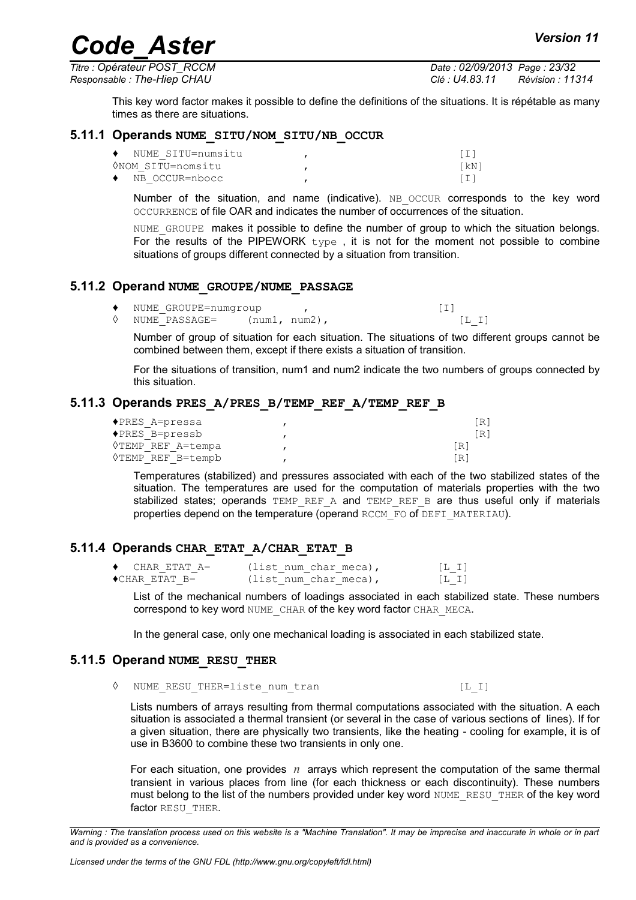*Titre : Opérateur POST\_RCCM Date : 02/09/2013 Page : 23/32 Responsable : The-Hiep CHAU Clé : U4.83.11 Révision : 11314*

This key word factor makes it possible to define the definitions of the situations. It is répétable as many times as there are situations.

#### **5.11.1 Operands NUME\_SITU/NOM\_SITU/NB\_OCCUR**

<span id="page-22-4"></span>

| NUME SITU=numsitu<br>$\bullet$ |      |
|--------------------------------|------|
| ONOM SITU=nomsitu              | [kN] |
| NB OCCUR=nbocc<br>٠            |      |

Number of the situation, and name (indicative). NB OCCUR corresponds to the key word OCCURRENCE of file OAR and indicates the number of occurrences of the situation.

NUME GROUPE makes it possible to define the number of group to which the situation belongs. For the results of the PIPEWORK type, it is not for the moment not possible to combine situations of groups different connected by a situation from transition.

#### **5.11.2 Operand NUME\_GROUPE/NUME\_PASSAGE**

- <span id="page-22-3"></span>NUME GROUPE=numgroup , (I) ◊ NUME\_PASSAGE= (num1, num2), [L\_I]
	- Number of group of situation for each situation. The situations of two different groups cannot be combined between them, except if there exists a situation of transition.

For the situations of transition, num1 and num2 indicate the two numbers of groups connected by this situation.

#### **5.11.3 Operands PRES\_A/PRES\_B/TEMP\_REF\_A/TEMP\_REF\_B**

<span id="page-22-2"></span>

| ◆PRES A=pressa    | [R]  |
|-------------------|------|
| ◆PRES B=pressb    | [R]  |
| OTEMP REF A=tempa | [R]  |
| 0TEMP REF B=tempb | 「R ] |

Temperatures (stabilized) and pressures associated with each of the two stabilized states of the situation. The temperatures are used for the computation of materials properties with the two stabilized states; operands  $TEMP$  REF A and  $TEMP$  REF B are thus useful only if materials properties depend on the temperature (operand RCCM\_FO of DEFI\_MATERIAU).

#### **5.11.4 Operands CHAR\_ETAT\_A/CHAR\_ETAT\_B**

<span id="page-22-1"></span>

| CHAR ETAT A=           | (list num char meca), | [L, I] |
|------------------------|-----------------------|--------|
| $\bullet$ CHAR ETAT B= | (list num char meca), | [L,I]  |

List of the mechanical numbers of loadings associated in each stabilized state. These numbers correspond to key word NUME CHAR of the key word factor CHAR\_MECA.

In the general case, only one mechanical loading is associated in each stabilized state.

#### **5.11.5 Operand NUME\_RESU\_THER**

<span id="page-22-0"></span>◊ NUME\_RESU\_THER=liste\_num\_tran [L\_I]

Lists numbers of arrays resulting from thermal computations associated with the situation. A each situation is associated a thermal transient (or several in the case of various sections of lines). If for a given situation, there are physically two transients, like the heating - cooling for example, it is of use in B3600 to combine these two transients in only one.

For each situation, one provides *n* arrays which represent the computation of the same thermal transient in various places from line (for each thickness or each discontinuity). These numbers must belong to the list of the numbers provided under key word NUME\_RESU\_THER of the key word factor RESU THER.

*Warning : The translation process used on this website is a "Machine Translation". It may be imprecise and inaccurate in whole or in part and is provided as a convenience.*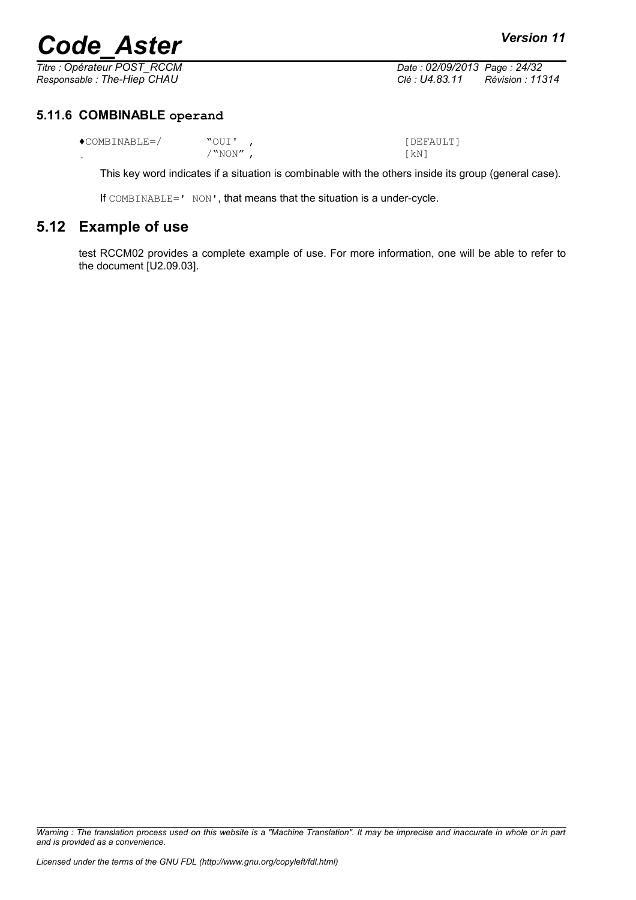*Titre : Opérateur POST\_RCCM Date : 02/09/2013 Page : 24/32 Responsable : The-Hiep CHAU Clé : U4.83.11 Révision : 11314*

#### **5.11.6 COMBINABLE operand**

<span id="page-23-1"></span>

| $\bigcirc$ COMBINABLE=/ |       | [DEFAULT] |
|-------------------------|-------|-----------|
|                         | "NON" | 「kN」      |

This key word indicates if a situation is combinable with the others inside its group (general case).

If COMBINABLE=' NON', that means that the situation is a under-cycle.

### **5.12 Example of use**

<span id="page-23-0"></span>test RCCM02 provides a complete example of use. For more information, one will be able to refer to the document [U2.09.03].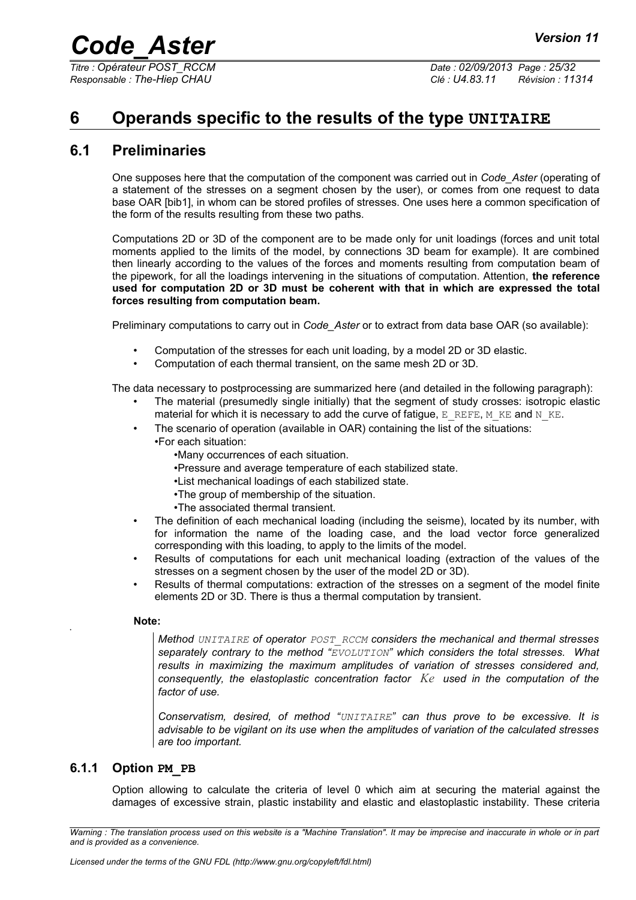*Titre : Opérateur POST\_RCCM Date : 02/09/2013 Page : 25/32 Responsable : The-Hiep CHAU Clé : U4.83.11 Révision : 11314*

## <span id="page-24-2"></span>**6 Operands specific to the results of the type UNITAIRE**

### **6.1 Preliminaries**

<span id="page-24-1"></span>One supposes here that the computation of the component was carried out in *Code\_Aster* (operating of a statement of the stresses on a segment chosen by the user), or comes from one request to data base OAR [bib1], in whom can be stored profiles of stresses. One uses here a common specification of the form of the results resulting from these two paths.

Computations 2D or 3D of the component are to be made only for unit loadings (forces and unit total moments applied to the limits of the model, by connections 3D beam for example). It are combined then linearly according to the values of the forces and moments resulting from computation beam of the pipework, for all the loadings intervening in the situations of computation. Attention, **the reference used for computation 2D or 3D must be coherent with that in which are expressed the total forces resulting from computation beam.** 

Preliminary computations to carry out in *Code\_Aster* or to extract from data base OAR (so available):

- Computation of the stresses for each unit loading, by a model 2D or 3D elastic.
- Computation of each thermal transient, on the same mesh 2D or 3D.

The data necessary to postprocessing are summarized here (and detailed in the following paragraph):

- The material (presumedly single initially) that the segment of study crosses: isotropic elastic material for which it is necessary to add the curve of fatigue,  $E$  REFE, M\_KE and N\_KE.
- The scenario of operation (available in OAR) containing the list of the situations: •For each situation:
	- •Many occurrences of each situation.
	- •Pressure and average temperature of each stabilized state.
	- •List mechanical loadings of each stabilized state.
	- •The group of membership of the situation.
	- •The associated thermal transient.
- The definition of each mechanical loading (including the seisme), located by its number, with for information the name of the loading case, and the load vector force generalized corresponding with this loading, to apply to the limits of the model.
- Results of computations for each unit mechanical loading (extraction of the values of the stresses on a segment chosen by the user of the model 2D or 3D).
- Results of thermal computations: extraction of the stresses on a segment of the model finite elements 2D or 3D. There is thus a thermal computation by transient.

#### **Note:**

•

*Method UNITAIRE of operator POST\_RCCM considers the mechanical and thermal stresses separately contrary to the method "EVOLUTION" which considers the total stresses. What results in maximizing the maximum amplitudes of variation of stresses considered and, consequently, the elastoplastic concentration factor Ke used in the computation of the factor of use.*

*Conservatism, desired, of method "UNITAIRE" can thus prove to be excessive. It is advisable to be vigilant on its use when the amplitudes of variation of the calculated stresses are too important.*

#### **6.1.1 Option PM\_PB**

<span id="page-24-0"></span>Option allowing to calculate the criteria of level 0 which aim at securing the material against the damages of excessive strain, plastic instability and elastic and elastoplastic instability. These criteria

*Warning : The translation process used on this website is a "Machine Translation". It may be imprecise and inaccurate in whole or in part and is provided as a convenience.*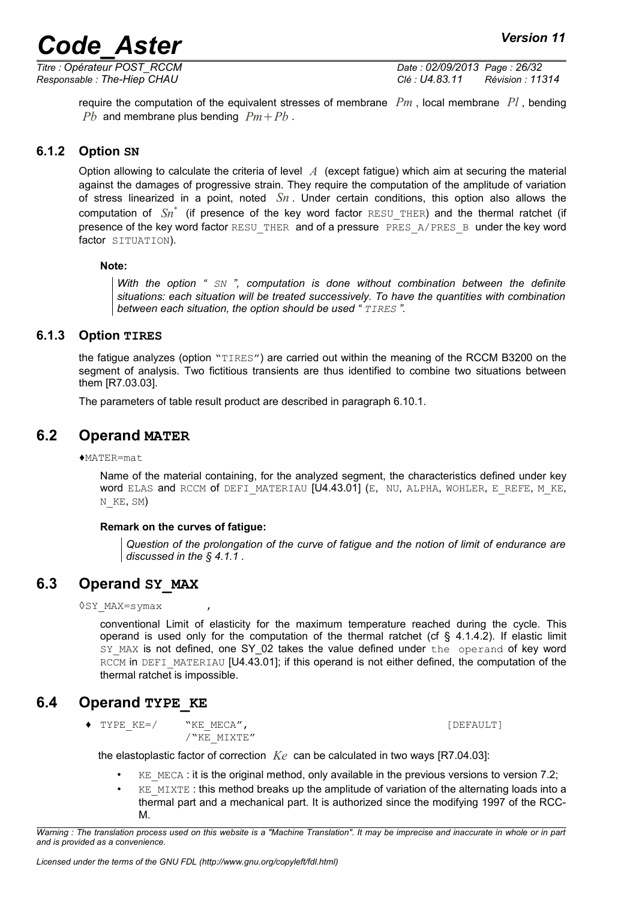*Titre : Opérateur POST\_RCCM Date : 02/09/2013 Page : 26/32 Responsable : The-Hiep CHAU Clé : U4.83.11 Révision : 11314*

require the computation of the equivalent stresses of membrane *Pm* , local membrane *Pl* , bending *Pb* and membrane plus bending  $Pm + Pb$ .

#### **6.1.2 Option SN**

<span id="page-25-4"></span>Option allowing to calculate the criteria of level *A* (except fatigue) which aim at securing the material against the damages of progressive strain. They require the computation of the amplitude of variation of stress linearized in a point, noted *Sn* . Under certain conditions, this option also allows the computation of *Sn*\* (if presence of the key word factor RESU\_THER) and the thermal ratchet (if presence of the key word factor RESU\_THER and of a pressure PRES\_A/PRES\_B under the key word factor SITUATION).

#### **Note:**

*With the option " SN ", computation is done without combination between the definite situations: each situation will be treated successively. To have the quantities with combination between each situation, the option should be used " TIRES ".*

#### **6.1.3 Option TIRES**

<span id="page-25-3"></span>the fatigue analyzes (option "TIRES") are carried out within the meaning of the RCCM B3200 on the segment of analysis. Two fictitious transients are thus identified to combine two situations between them [R7.03.03].

The parameters of table result product are described in paragraph [6.10.1.](#page-29-0)

#### **6.2 Operand MATER**

<span id="page-25-2"></span>♦MATER=mat

Name of the material containing, for the analyzed segment, the characteristics defined under key WORD ELAS and RCCM Of DEFI\_MATERIAU [U4.43.01] (E, NU, ALPHA, WOHLER, E\_REFE, M\_KE, N\_KE, SM)

#### **Remark on the curves of fatigue:**

*Question of the prolongation of the curve of fatigue and the notion of limit of endurance are discussed in the § [4.1.1](#page-11-0) .*

### **6.3 Operand SY\_MAX**

<span id="page-25-1"></span>◊SY\_MAX=symax ,

conventional Limit of elasticity for the maximum temperature reached during the cycle. This operand is used only for the computation of the thermal ratchet (cf  $\S$  [4.1.4.2\)](#page-13-2). If elastic limit SY\_MAX is not defined, one SY\_02 takes the value defined under the operand of key word RCCM in DEFI\_MATERIAU [U4.43.01]; if this operand is not either defined, the computation of the thermal ratchet is impossible.

### **6.4 Operand TYPE\_KE**

<span id="page-25-0"></span>◆ TYPE KE=/ "KE\_MECA", [DEFAULT]

 $/$ "KE\_MIXTE"

the elastoplastic factor of correction *Ke* can be calculated in two ways [R7.04.03]:

- $KE$  MECA : it is the original method, only available in the previous versions to version 7.2;
- $KE$  MIXTE : this method breaks up the amplitude of variation of the alternating loads into a thermal part and a mechanical part. It is authorized since the modifying 1997 of the RCC-M.

*Warning : The translation process used on this website is a "Machine Translation". It may be imprecise and inaccurate in whole or in part and is provided as a convenience.*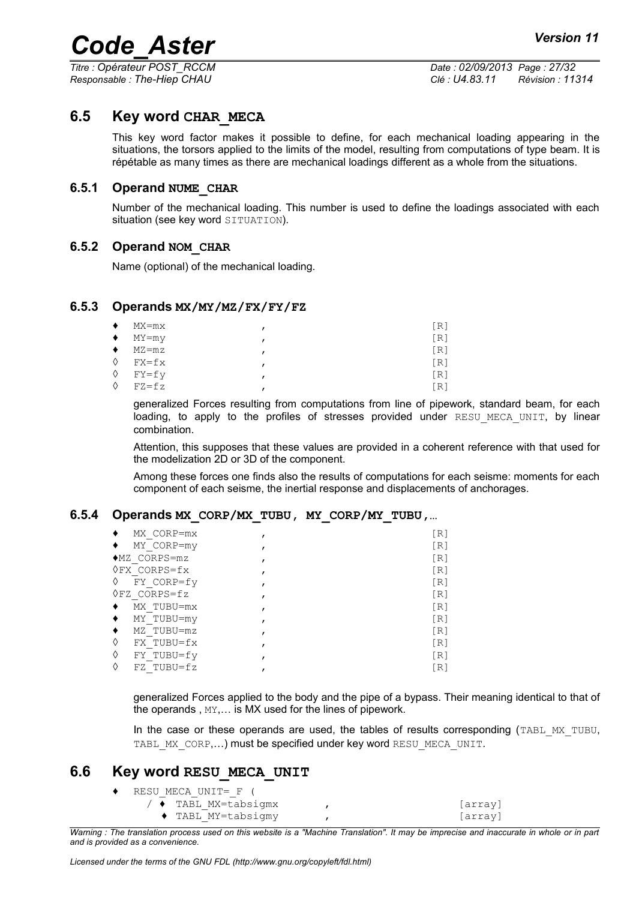*Titre : Opérateur POST\_RCCM Date : 02/09/2013 Page : 27/32 Responsable : The-Hiep CHAU Clé : U4.83.11 Révision : 11314*

#### **6.5 Key word CHAR\_MECA**

<span id="page-26-5"></span>This key word factor makes it possible to define, for each mechanical loading appearing in the situations, the torsors applied to the limits of the model, resulting from computations of type beam. It is répétable as many times as there are mechanical loadings different as a whole from the situations.

#### **6.5.1 Operand NUME\_CHAR**

<span id="page-26-4"></span>Number of the mechanical loading. This number is used to define the loadings associated with each situation (see key word SITUATION).

#### **6.5.2 Operand NOM\_CHAR**

<span id="page-26-3"></span>Name (optional) of the mechanical loading.

#### **6.5.3 Operands MX/MY/MZ/FX/FY/FZ**

<span id="page-26-2"></span>

| ٠         | MX=mx                 | [R] |
|-----------|-----------------------|-----|
|           | $\blacklozenge$ MY=my | [R] |
| $\bullet$ | MZ=mz                 | [R] |
|           | $\lozenge$ FX=fx      | [R] |
|           | $\Diamond$ FY=fy      | [R] |
| ♦         | $FZ = fz$             | [R] |

generalized Forces resulting from computations from line of pipework, standard beam, for each loading, to apply to the profiles of stresses provided under RESU MECA UNIT, by linear combination.

Attention, this supposes that these values are provided in a coherent reference with that used for the modelization 2D or 3D of the component.

Among these forces one finds also the results of computations for each seisme: moments for each component of each seisme, the inertial response and displacements of anchorages.

#### **6.5.4 Operands MX\_CORP/MX\_TUBU, MY\_CORP/MY\_TUBU,…**

<span id="page-26-1"></span>

| MX CORP=mx             | [R] |
|------------------------|-----|
| MY CORP=my             | [R] |
| $MZ$ CORPS=mz          | [R] |
| $QFX$ CORPS= $fx$      | [R] |
| ♦<br>FY CORP=fy        | [R] |
| $\Diamond$ FZ CORPS=fz | [R] |
| MX TUBU=mx             | [R] |
| MY TUBU=my<br>٠        | [R] |
| MZ TUBU=mz             | [R] |
| ♦<br>FX TUBU=fx        | [R] |
| ♦<br>FY TUBU=fy        | [R] |
| ♦<br>FZ TUBU=fz        | [R] |

generalized Forces applied to the body and the pipe of a bypass. Their meaning identical to that of the operands , MY,… is MX used for the lines of pipework.

In the case or these operands are used, the tables of results corresponding (TABL MX TUBU, TABL\_MX\_CORP,...) must be specified under key word RESU\_MECA\_UNIT.

#### **6.6 Key word RESU\_MECA\_UNIT**

<span id="page-26-0"></span>

| RESU MECA UNIT= F (              |         |
|----------------------------------|---------|
| / ◆ TABL MX=tabsigmx             | array   |
| $\blacklozenge$ TABL MY=tabsigmy | [array] |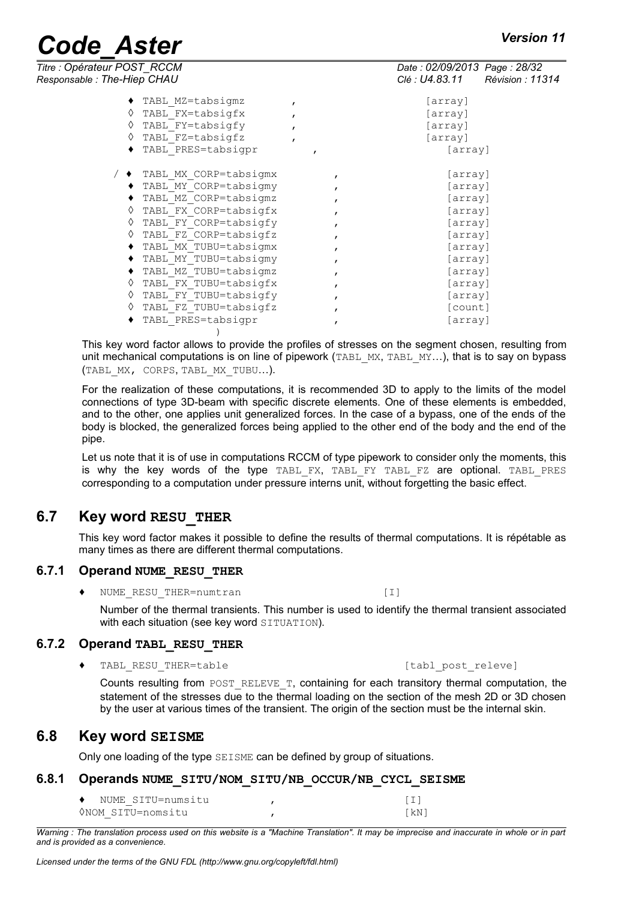| Titre : Opérateur POST_RCCM |                           |              | Date: 02/09/2013 Page: 28/32 |                        |
|-----------------------------|---------------------------|--------------|------------------------------|------------------------|
| Responsable: The-Hiep CHAU  |                           |              | Clé : U4.83.11               | <b>Révision: 11314</b> |
|                             | TABL MZ=tabsigmz          | $\mathbf{r}$ | [array]                      |                        |
| ♦                           | TABL FX=tabsigfx          |              | [array]                      |                        |
| ♦                           | TABL FY=tabsigfy          |              | [array]                      |                        |
| ♦                           | TABL FZ=tabsigfz          |              | [array]                      |                        |
|                             | TABL PRES=tabsigpr        |              | [array]                      |                        |
|                             | / ◆ TABL MX CORP=tabsigmx |              | [array]                      |                        |
|                             | TABL MY CORP=tabsigmy     |              | [array]                      |                        |
|                             | TABL MZ CORP=tabsigmz     |              | [array]                      |                        |
| ♦                           | TABL FX CORP=tabsigfx     |              | [array]                      |                        |
|                             | TABL FY CORP=tabsigfy     |              | [array]                      |                        |
| ♦                           | TABL FZ CORP=tabsigfz     |              | [array]                      |                        |
|                             | TABL MX TUBU=tabsigmx     |              | [array]                      |                        |
|                             | TABL MY TUBU=tabsigmy     |              | [array]                      |                        |
|                             | TABL MZ TUBU=tabsigmz     | $\mathbf{r}$ | [array]                      |                        |
|                             | TABL FX TUBU=tabsigfx     |              | [array]                      |                        |
| ♦                           | TABL FY TUBU=tabsigfy     | $\mathbf{r}$ | [array]                      |                        |
| ♦                           | TABL FZ TUBU=tabsigfz     |              | [count]                      |                        |
|                             | TABL PRES=tabsigpr        |              | [array]                      |                        |
|                             |                           |              |                              |                        |

This key word factor allows to provide the profiles of stresses on the segment chosen, resulting from unit mechanical computations is on line of pipework (TABL MX, TABL MY...), that is to say on bypass (TABL\_MX, CORPS, TABL\_MX\_TUBU…).

For the realization of these computations, it is recommended 3D to apply to the limits of the model connections of type 3D-beam with specific discrete elements. One of these elements is embedded, and to the other, one applies unit generalized forces. In the case of a bypass, one of the ends of the body is blocked, the generalized forces being applied to the other end of the body and the end of the pipe.

Let us note that it is of use in computations RCCM of type pipework to consider only the moments, this is why the key words of the type TABL FX, TABL FY TABL FZ are optional. TABL PRES corresponding to a computation under pressure interns unit, without forgetting the basic effect.

### **6.7 Key word RESU\_THER**

<span id="page-27-4"></span>This key word factor makes it possible to define the results of thermal computations. It is répétable as many times as there are different thermal computations.

#### **6.7.1 Operand NUME\_RESU\_THER**

<span id="page-27-3"></span>♦ NUME\_RESU\_THER=numtran [I]

Number of the thermal transients. This number is used to identify the thermal transient associated with each situation (see key word SITUATION).

#### **6.7.2 Operand TABL\_RESU\_THER**

<span id="page-27-2"></span>◆ TABL RESU THER=table (tabl post releve)

Counts resulting from POST\_RELEVE\_T, containing for each transitory thermal computation, the statement of the stresses due to the thermal loading on the section of the mesh 2D or 3D chosen by the user at various times of the transient. The origin of the section must be the internal skin.

#### **6.8 Key word SEISME**

<span id="page-27-1"></span><span id="page-27-0"></span>Only one loading of the type SEISME can be defined by group of situations.

#### **6.8.1 Operands NUME\_SITU/NOM\_SITU/NB\_OCCUR/NB\_CYCL\_SEISME**

| NUME SITU=numsitu |      |
|-------------------|------|
| VNOM SITU=nomsitu | [kN] |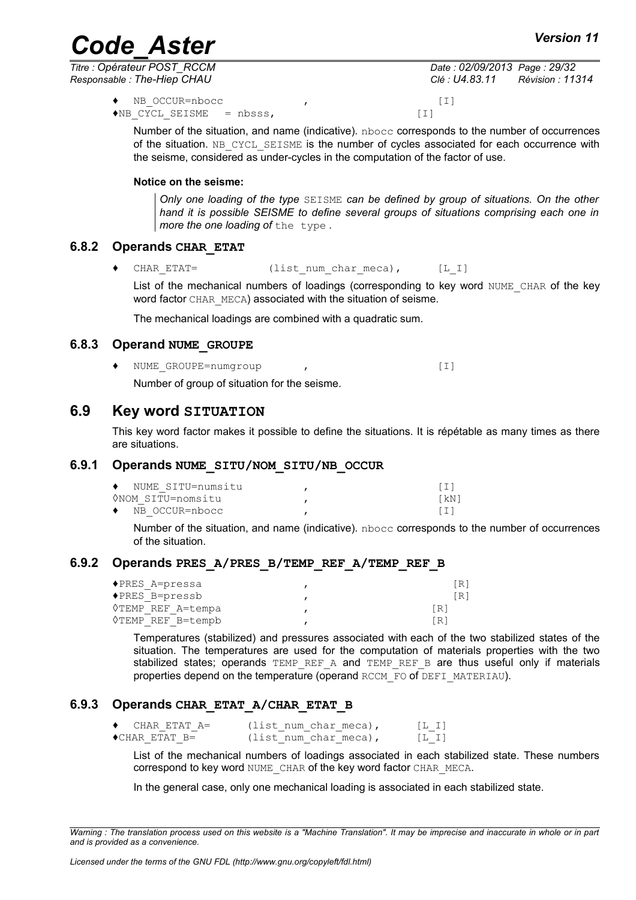*Titre : Opérateur POST\_RCCM Date : 02/09/2013 Page : 29/32 Responsable : The-Hiep CHAU Clé : U4.83.11 Révision : 11314*

♦ NB\_OCCUR=nbocc , [I]  $\triangleleft$ NB CYCL SEISME = nbsss,  $[1]$ 

Number of the situation, and name (indicative). nbocc corresponds to the number of occurrences of the situation. NB CYCL SEISME is the number of cycles associated for each occurrence with the seisme, considered as under-cycles in the computation of the factor of use.

#### **Notice on the seisme:**

*Only one loading of the type* SEISME *can be defined by group of situations. On the other hand it is possible SEISME to define several groups of situations comprising each one in more the one loading of* the type *.*

#### **6.8.2 Operands CHAR\_ETAT**

<span id="page-28-3"></span>◆ CHAR ETAT= (list num char meca), [L\_I]

List of the mechanical numbers of loadings (corresponding to key word NUME CHAR of the key word factor CHAR\_MECA) associated with the situation of seisme.

The mechanical loadings are combined with a quadratic sum.

#### **6.8.3 Operand NUME\_GROUPE**

<span id="page-28-2"></span>♦ NUME\_GROUPE=numgroup , [I] Number of group of situation for the seisme.

#### **6.9 Key word SITUATION**

<span id="page-28-1"></span>This key word factor makes it possible to define the situations. It is répétable as many times as there are situations.

#### **6.9.1 Operands NUME\_SITU/NOM\_SITU/NB\_OCCUR**

<span id="page-28-0"></span>

| • NUME SITU=numsitu      |      |
|--------------------------|------|
| ONOM SITU=nomsitu        | [kN] |
| $\bullet$ NB OCCUR=nbocc |      |

Number of the situation, and name (indicative). nbocc corresponds to the number of occurrences of the situation.

#### **6.9.2 Operands PRES\_A/PRES\_B/TEMP\_REF\_A/TEMP\_REF\_B**

<span id="page-28-5"></span>

| ◆PRES A=pressa                | 「R ]       |
|-------------------------------|------------|
| $\blacklozenge$ PRES B=pressb | 「R]        |
| VTEMP REF A=tempa             | $\sqrt{R}$ |
| ◊TEMP REF B=tempb             | [R]        |

Temperatures (stabilized) and pressures associated with each of the two stabilized states of the situation. The temperatures are used for the computation of materials properties with the two stabilized states; operands  $TEMP$  REF A and  $TEMP$  REF B are thus useful only if materials properties depend on the temperature (operand RCCM\_FO of DEFI\_MATERIAU).

#### **6.9.3 Operands CHAR\_ETAT\_A/CHAR\_ETAT\_B**

<span id="page-28-4"></span>

| CHAR ETAT A=           | (list num char meca), | [L, I]        |
|------------------------|-----------------------|---------------|
| $\bullet$ CHAR ETAT B= | (list num char meca), | $[L \quad I]$ |

List of the mechanical numbers of loadings associated in each stabilized state. These numbers correspond to key word NUME\_CHAR of the key word factor CHAR\_MECA.

In the general case, only one mechanical loading is associated in each stabilized state.

*Warning : The translation process used on this website is a "Machine Translation". It may be imprecise and inaccurate in whole or in part and is provided as a convenience.*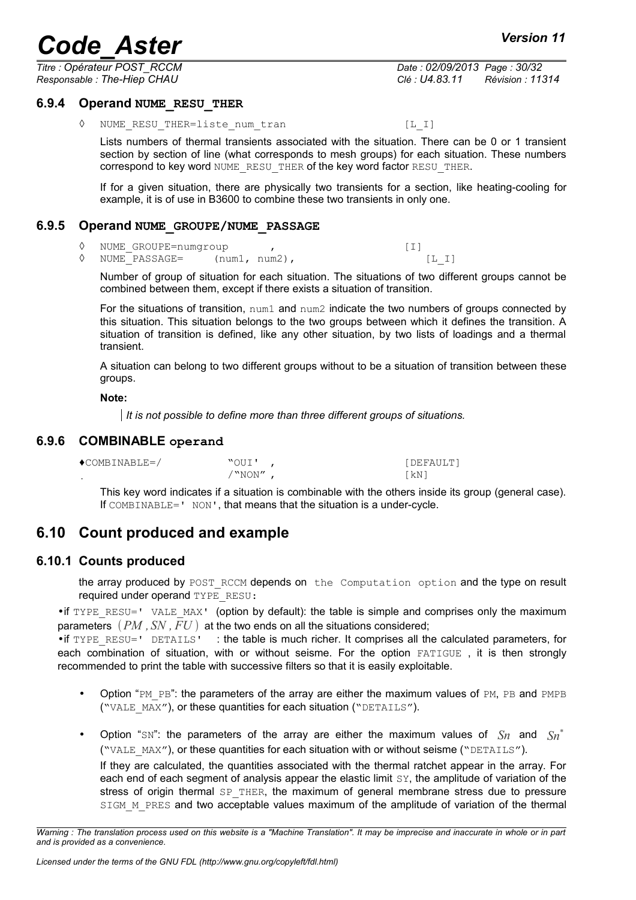*Titre : Opérateur POST\_RCCM Date : 02/09/2013 Page : 30/32 Responsable : The-Hiep CHAU Clé : U4.83.11 Révision : 11314*

#### **6.9.4 Operand NUME\_RESU\_THER**

<span id="page-29-4"></span>◊ NUME\_RESU\_THER=liste\_num\_tran [L\_I]

Lists numbers of thermal transients associated with the situation. There can be 0 or 1 transient section by section of line (what corresponds to mesh groups) for each situation. These numbers correspond to key word NUME\_RESU\_THER of the key word factor RESU\_THER.

If for a given situation, there are physically two transients for a section, like heating-cooling for example, it is of use in B3600 to combine these two transients in only one.

#### **6.9.5 Operand NUME\_GROUPE/NUME\_PASSAGE**

- <span id="page-29-3"></span>◊ NUME\_GROUPE=numgroup , [I]
- ◊ NUME\_PASSAGE= (num1, num2), [L\_I]

Number of group of situation for each situation. The situations of two different groups cannot be combined between them, except if there exists a situation of transition.

For the situations of transition, num1 and num2 indicate the two numbers of groups connected by this situation. This situation belongs to the two groups between which it defines the transition. A situation of transition is defined, like any other situation, by two lists of loadings and a thermal transient.

A situation can belong to two different groups without to be a situation of transition between these groups.

**Note:**

*It is not possible to define more than three different groups of situations.*

#### **6.9.6 COMBINABLE operand**

<span id="page-29-2"></span>

| $\bigcirc$ COMBINABLE=/ | "OUI'   | [DEFAULT] |
|-------------------------|---------|-----------|
|                         | ' "NON" | ⊺kN i     |

<span id="page-29-1"></span>This key word indicates if a situation is combinable with the others inside its group (general case). If COMBINABLE=' NON', that means that the situation is a under-cycle.

### **6.10 Count produced and example**

#### **6.10.1 Counts produced**

<span id="page-29-0"></span>the array produced by POST\_RCCM depends on the Computation option and the type on result required under operand TYPE\_RESU:

• if TYPE\_RESU=' VALE\_MAX' (option by default): the table is simple and comprises only the maximum parameters  $(PM, SN, FU)$  at the two ends on all the situations considered;

• if TYPE\_RESU=' DETAILS' : the table is much richer. It comprises all the calculated parameters, for each combination of situation, with or without seisme. For the option FATIGUE, it is then strongly recommended to print the table with successive filters so that it is easily exploitable.

- Option "PM\_PB": the parameters of the array are either the maximum values of PM, PB and PMPB ("VALE\_MAX"), or these quantities for each situation ("DETAILS").
- Option "SN": the parameters of the array are either the maximum values of  $Sn$  and  $Sn^*$ ("VALE\_MAX"), or these quantities for each situation with or without seisme ("DETAILS").

If they are calculated, the quantities associated with the thermal ratchet appear in the array. For each end of each segment of analysis appear the elastic limit SY, the amplitude of variation of the stress of origin thermal  $SP$  THER, the maximum of general membrane stress due to pressure SIGM M PRES and two acceptable values maximum of the amplitude of variation of the thermal

*Warning : The translation process used on this website is a "Machine Translation". It may be imprecise and inaccurate in whole or in part and is provided as a convenience.*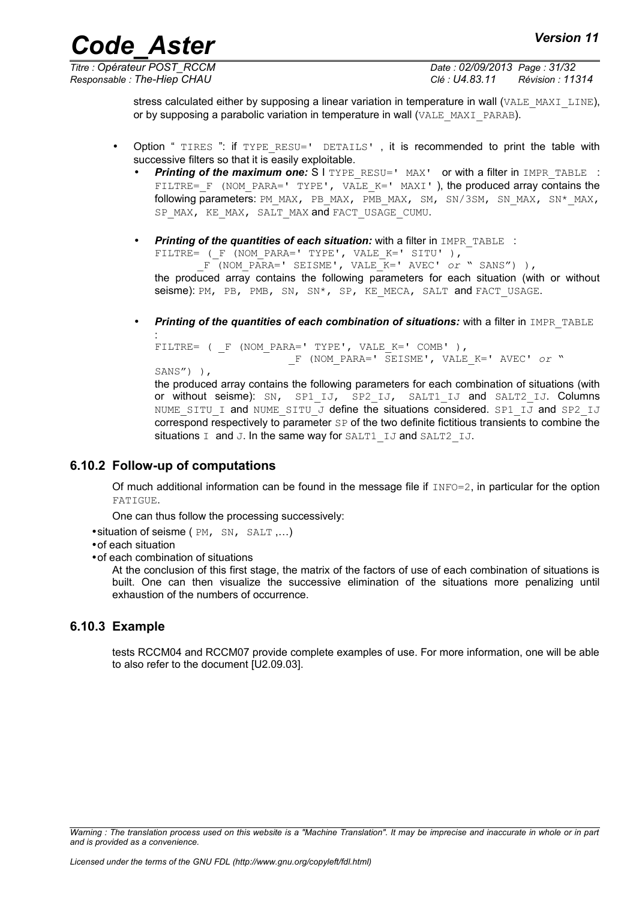*Titre : Opérateur POST\_RCCM Date : 02/09/2013 Page : 31/32 Responsable : The-Hiep CHAU Clé : U4.83.11 Révision : 11314*

> stress calculated either by supposing a linear variation in temperature in wall (VALE\_MAXI\_LINE), or by supposing a parabolic variation in temperature in wall (VALE\_MAXI\_PARAB).

- Option " TIRES ": if TYPE RESU=' DETAILS', it is recommended to print the table with successive filters so that it is easily exploitable.
	- **Printing of the maximum one:** S I TYPE RESU=' MAX' or with a filter in IMPR TABLE : FILTRE= F (NOM PARA=' TYPE', VALE K=' MAXI' ), the produced array contains the following parameters: PM\_MAX, PB\_MAX, PMB\_MAX, SM, SN/3SM, SN\_MAX, SN\*\_MAX, SP\_MAX, KE\_MAX, SALT\_MAX and FACT\_USAGE\_CUMU.
	- **Printing of the quantities of each situation:** with a filter in IMPR TABLE : FILTRE= ( F (NOM PARA=' TYPE', VALE K=' SITU' ), \_F (NOM\_PARA=' SEISME', VALE\_K=' AVEC' *or* " SANS") ), the produced array contains the following parameters for each situation (with or without seisme): PM, PB, PMB, SN, SN\*, SP, KE MECA, SALT and FACT USAGE.
	- **Printing of the quantities of each combination of situations:** with a filter in IMPR TABLE

```
:
FILTRE= ( F (NOM PARA=' TYPE', VALE K=' COMB' ),
                        _F (NOM_PARA=' SEISME', VALE_K=' AVEC' or "
SANS") ), 
the produced array contains the following parameters for each combination of situations (with
```
or without seisme): SN, SP1 IJ, SP2 IJ, SALT1 IJ and SALT2 IJ. Columns NUME SITU I and NUME SITU J define the situations considered. SP1 IJ and SP2 IJ correspond respectively to parameter SP of the two definite fictitious transients to combine the situations I and J. In the same way for SALT1 IJ and SALT2 IJ.

#### **6.10.2 Follow-up of computations**

<span id="page-30-1"></span>Of much additional information can be found in the message file if  $INFO=2$ , in particular for the option FATIGUE.

One can thus follow the processing successively:

•situation of seisme ( PM, SN, SALT ,…)

•of each situation

•of each combination of situations

At the conclusion of this first stage, the matrix of the factors of use of each combination of situations is built. One can then visualize the successive elimination of the situations more penalizing until exhaustion of the numbers of occurrence.

#### **6.10.3 Example**

<span id="page-30-0"></span>tests RCCM04 and RCCM07 provide complete examples of use. For more information, one will be able to also refer to the document [U2.09.03].

*Warning : The translation process used on this website is a "Machine Translation". It may be imprecise and inaccurate in whole or in part and is provided as a convenience.*